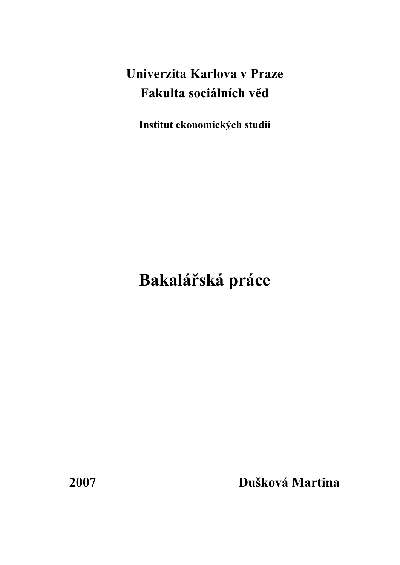# **Univerzita Karlova v Praze Fakulta sociálních věd**

**Institut ekonomických studií** 

# **Bakalářská práce**

**2007 Dušková Martina**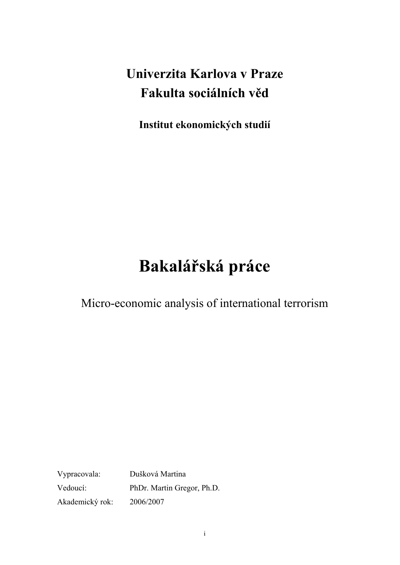# **Univerzita Karlova v Praze Fakulta sociálních věd**

**Institut ekonomických studií** 

# **Bakalářská práce**

Micro-economic analysis of international terrorism

Vypracovala: Dušková Martina Vedoucí: PhDr. Martin Gregor, Ph.D. Akademický rok: 2006/2007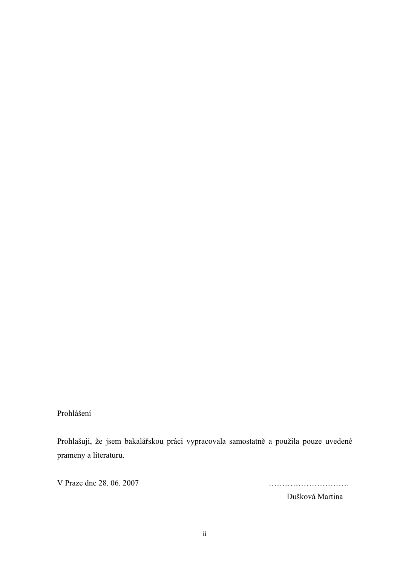## Prohlášení

Prohlašuji, že jsem bakalářskou práci vypracovala samostatně a použila pouze uvedené prameny a literaturu.

V Praze dne 28. 06. 2007 …………………………

Dušková Martina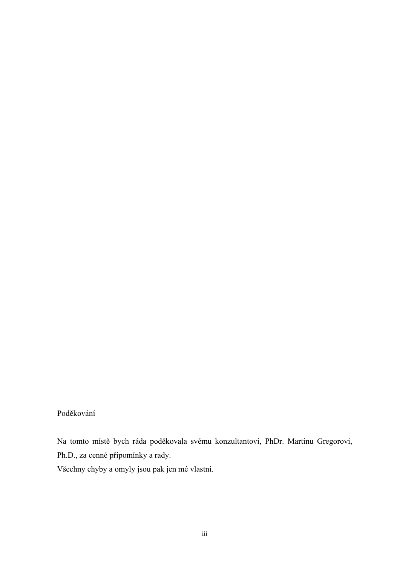## Poděkování

Na tomto místě bych ráda poděkovala svému konzultantovi, PhDr. Martinu Gregorovi, Ph.D., za cenné připomínky a rady.

Všechny chyby a omyly jsou pak jen mé vlastní.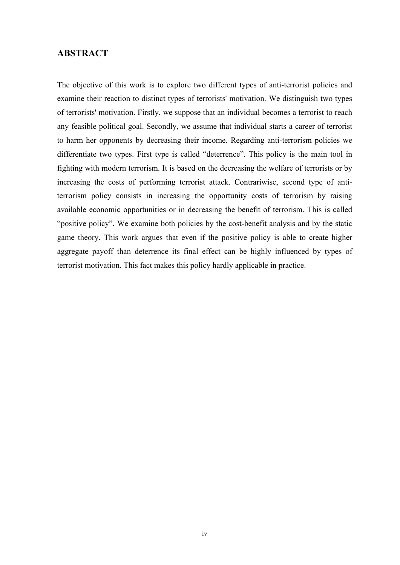## **ABSTRACT**

The objective of this work is to explore two different types of anti-terrorist policies and examine their reaction to distinct types of terrorists' motivation. We distinguish two types of terrorists' motivation. Firstly, we suppose that an individual becomes a terrorist to reach any feasible political goal. Secondly, we assume that individual starts a career of terrorist to harm her opponents by decreasing their income. Regarding anti-terrorism policies we differentiate two types. First type is called "deterrence". This policy is the main tool in fighting with modern terrorism. It is based on the decreasing the welfare of terrorists or by increasing the costs of performing terrorist attack. Contrariwise, second type of antiterrorism policy consists in increasing the opportunity costs of terrorism by raising available economic opportunities or in decreasing the benefit of terrorism. This is called "positive policy". We examine both policies by the cost-benefit analysis and by the static game theory. This work argues that even if the positive policy is able to create higher aggregate payoff than deterrence its final effect can be highly influenced by types of terrorist motivation. This fact makes this policy hardly applicable in practice.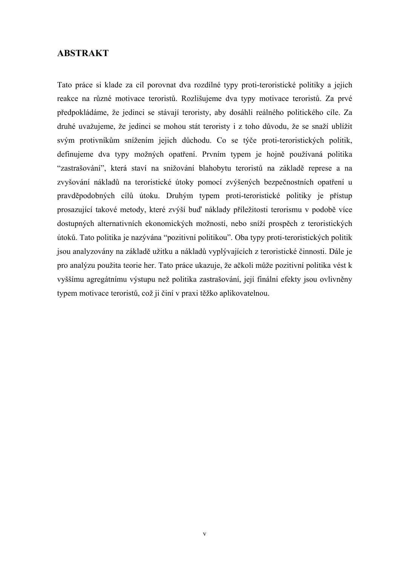## **ABSTRAKT**

Tato práce si klade za cíl porovnat dva rozdílné typy proti-teroristické politiky a jejich reakce na různé motivace teroristů. Rozlišujeme dva typy motivace teroristů. Za prvé předpokládáme, že jedinci se stávají teroristy, aby dosáhli reálného politického cíle. Za druhé uvažujeme, že jedinci se mohou stát teroristy i z toho důvodu, že se snaží ublížit svým protivníkům snížením jejich důchodu. Co se týče proti-teroristických politik, definujeme dva typy možných opatření. Prvním typem je hojně používaná politika "zastrašování", která staví na snižování blahobytu teroristů na základě represe a na zvyšování nákladů na teroristické útoky pomocí zvýšených bezpečnostních opatření u pravděpodobných cílů útoku. Druhým typem proti-teroristické politiky je přístup prosazující takové metody, které zvýší buď náklady příležitosti terorismu v podobě více dostupných alternativních ekonomických možností, nebo sníží prospěch z teroristických útoků. Tato politika je nazývána "pozitivní politikou". Oba typy proti-teroristických politik jsou analyzovány na základě užitku a nákladů vyplývajících z teroristické činnosti. Dále je pro analýzu použita teorie her. Tato práce ukazuje, že ačkoli může pozitivní politika vést k vyššímu agregátnímu výstupu než politika zastrašování, její finální efekty jsou ovlivněny typem motivace teroristů, což ji činí v praxi těžko aplikovatelnou.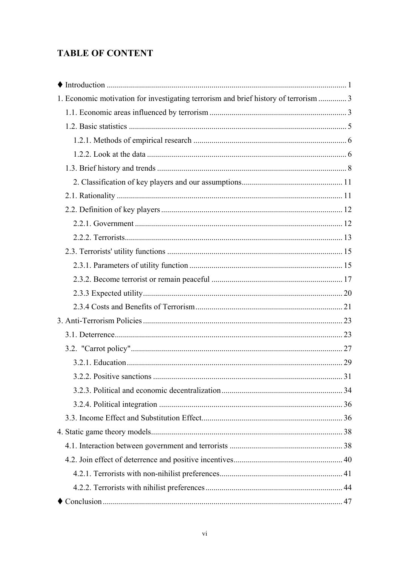## **TABLE OF CONTENT**

| 1. Economic motivation for investigating terrorism and brief history of terrorism  3 |  |
|--------------------------------------------------------------------------------------|--|
|                                                                                      |  |
|                                                                                      |  |
|                                                                                      |  |
|                                                                                      |  |
|                                                                                      |  |
|                                                                                      |  |
|                                                                                      |  |
|                                                                                      |  |
|                                                                                      |  |
|                                                                                      |  |
|                                                                                      |  |
|                                                                                      |  |
|                                                                                      |  |
|                                                                                      |  |
|                                                                                      |  |
|                                                                                      |  |
|                                                                                      |  |
|                                                                                      |  |
|                                                                                      |  |
|                                                                                      |  |
|                                                                                      |  |
|                                                                                      |  |
|                                                                                      |  |
|                                                                                      |  |
|                                                                                      |  |
|                                                                                      |  |
|                                                                                      |  |
|                                                                                      |  |
|                                                                                      |  |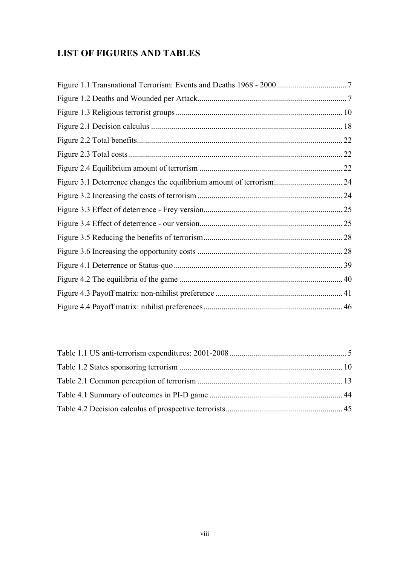## **LIST OF FIGURES AND TABLES**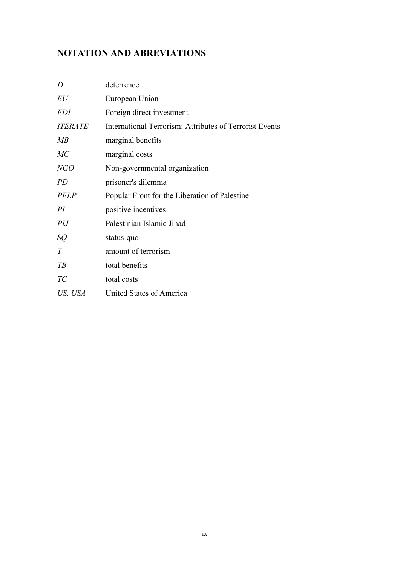## **NOTATION AND ABREVIATIONS**

| D              | deterrence                                              |
|----------------|---------------------------------------------------------|
| EU             | European Union                                          |
| <i>FDI</i>     | Foreign direct investment                               |
| <b>ITERATE</b> | International Terrorism: Attributes of Terrorist Events |
| MB             | marginal benefits                                       |
| MC             | marginal costs                                          |
| NGO            | Non-governmental organization                           |
| <i>PD</i>      | prisoner's dilemma                                      |
| <b>PFLP</b>    | Popular Front for the Liberation of Palestine           |
| PI             | positive incentives                                     |
| PIJ            | Palestinian Islamic Jihad                               |
| SQ             | status-quo                                              |
| T              | amount of terrorism                                     |
| T B            | total benefits                                          |
| TC             | total costs                                             |
| US, USA        | United States of America                                |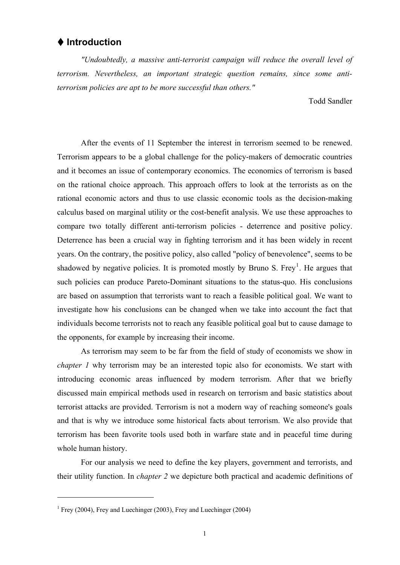## <span id="page-10-0"></span> **Introduction**

*"Undoubtedly, a massive anti-terrorist campaign will reduce the overall level of terrorism. Nevertheless, an important strategic question remains, since some antiterrorism policies are apt to be more successful than others."* 

Todd Sandler

After the events of 11 September the interest in terrorism seemed to be renewed. Terrorism appears to be a global challenge for the policy-makers of democratic countries and it becomes an issue of contemporary economics. The economics of terrorism is based on the rational choice approach. This approach offers to look at the terrorists as on the rational economic actors and thus to use classic economic tools as the decision-making calculus based on marginal utility or the cost-benefit analysis. We use these approaches to compare two totally different anti-terrorism policies - deterrence and positive policy. Deterrence has been a crucial way in fighting terrorism and it has been widely in recent years. On the contrary, the positive policy, also called "policy of benevolence", seems to be shadowed by negative policies. It is promoted mostly by Bruno S. Frey<sup>[1](#page-10-1)</sup>. He argues that such policies can produce Pareto-Dominant situations to the status-quo. His conclusions are based on assumption that terrorists want to reach a feasible political goal. We want to investigate how his conclusions can be changed when we take into account the fact that individuals become terrorists not to reach any feasible political goal but to cause damage to the opponents, for example by increasing their income.

 As terrorism may seem to be far from the field of study of economists we show in *chapter 1* why terrorism may be an interested topic also for economists. We start with introducing economic areas influenced by modern terrorism. After that we briefly discussed main empirical methods used in research on terrorism and basic statistics about terrorist attacks are provided. Terrorism is not a modern way of reaching someone's goals and that is why we introduce some historical facts about terrorism. We also provide that terrorism has been favorite tools used both in warfare state and in peaceful time during whole human history.

 For our analysis we need to define the key players, government and terrorists, and their utility function. In *chapter 2* we depicture both practical and academic definitions of

<span id="page-10-1"></span><sup>&</sup>lt;sup>1</sup> Frey (2004), Frey and Luechinger (2003), Frey and Luechinger (2004)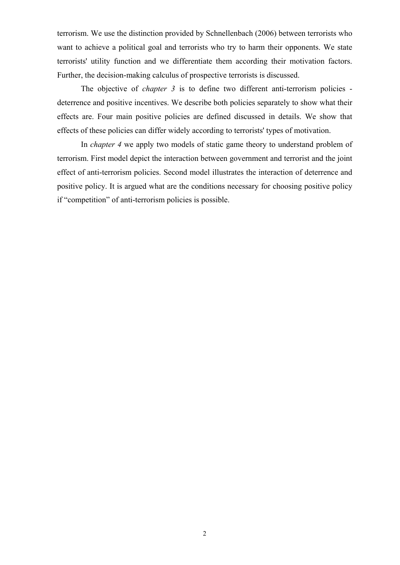terrorism. We use the distinction provided by Schnellenbach (2006) between terrorists who want to achieve a political goal and terrorists who try to harm their opponents. We state terrorists' utility function and we differentiate them according their motivation factors. Further, the decision-making calculus of prospective terrorists is discussed.

 The objective of *chapter 3* is to define two different anti-terrorism policies deterrence and positive incentives. We describe both policies separately to show what their effects are. Four main positive policies are defined discussed in details. We show that effects of these policies can differ widely according to terrorists' types of motivation.

 In *chapter 4* we apply two models of static game theory to understand problem of terrorism. First model depict the interaction between government and terrorist and the joint effect of anti-terrorism policies. Second model illustrates the interaction of deterrence and positive policy. It is argued what are the conditions necessary for choosing positive policy if "competition" of anti-terrorism policies is possible.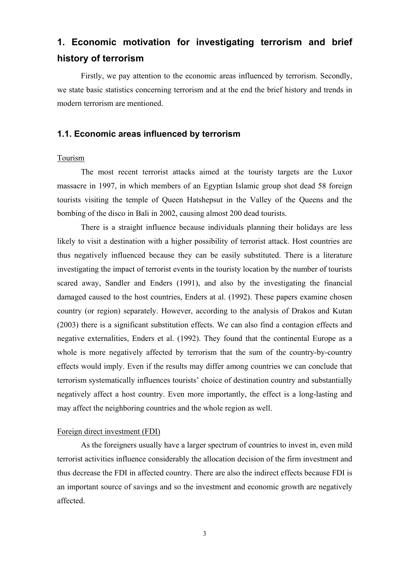# <span id="page-12-0"></span>**1. Economic motivation for investigating terrorism and brief history of terrorism**

 Firstly, we pay attention to the economic areas influenced by terrorism. Secondly, we state basic statistics concerning terrorism and at the end the brief history and trends in modern terrorism are mentioned.

## **1.1. Economic areas influenced by terrorism**

### Tourism

The most recent terrorist attacks aimed at the touristy targets are the Luxor massacre in 1997, in which members of an Egyptian Islamic group shot dead 58 foreign tourists visiting the temple of Queen Hatshepsut in the Valley of the Queens and the bombing of the disco in Bali in 2002, causing almost 200 dead tourists.

There is a straight influence because individuals planning their holidays are less likely to visit a destination with a higher possibility of terrorist attack. Host countries are thus negatively influenced because they can be easily substituted. There is a literature investigating the impact of terrorist events in the touristy location by the number of tourists scared away, Sandler and Enders (1991), and also by the investigating the financial damaged caused to the host countries, Enders at al. (1992). These papers examine chosen country (or region) separately. However, according to the analysis of Drakos and Kutan (2003) there is a significant substitution effects. We can also find a contagion effects and negative externalities, Enders et al. (1992). They found that the continental Europe as a whole is more negatively affected by terrorism that the sum of the country-by-country effects would imply. Even if the results may differ among countries we can conclude that terrorism systematically influences tourists' choice of destination country and substantially negatively affect a host country. Even more importantly, the effect is a long-lasting and may affect the neighboring countries and the whole region as well.

### Foreign direct investment (FDI)

As the foreigners usually have a larger spectrum of countries to invest in, even mild terrorist activities influence considerably the allocation decision of the firm investment and thus decrease the FDI in affected country. There are also the indirect effects because FDI is an important source of savings and so the investment and economic growth are negatively affected.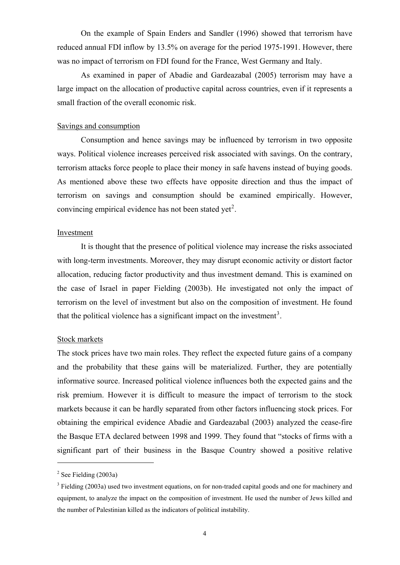On the example of Spain Enders and Sandler (1996) showed that terrorism have reduced annual FDI inflow by 13.5% on average for the period 1975-1991. However, there was no impact of terrorism on FDI found for the France, West Germany and Italy.

As examined in paper of Abadie and Gardeazabal (2005) terrorism may have a large impact on the allocation of productive capital across countries, even if it represents a small fraction of the overall economic risk.

#### Savings and consumption

Consumption and hence savings may be influenced by terrorism in two opposite ways. Political violence increases perceived risk associated with savings. On the contrary, terrorism attacks force people to place their money in safe havens instead of buying goods. As mentioned above these two effects have opposite direction and thus the impact of terrorism on savings and consumption should be examined empirically. However, convincing empirical evidence has not been stated yet<sup>[2](#page-13-0)</sup>.

#### Investment

 It is thought that the presence of political violence may increase the risks associated with long-term investments. Moreover, they may disrupt economic activity or distort factor allocation, reducing factor productivity and thus investment demand. This is examined on the case of Israel in paper Fielding (2003b). He investigated not only the impact of terrorism on the level of investment but also on the composition of investment. He found that the political violence has a significant impact on the investment<sup>[3](#page-13-1)</sup>.

#### Stock markets

The stock prices have two main roles. They reflect the expected future gains of a company and the probability that these gains will be materialized. Further, they are potentially informative source. Increased political violence influences both the expected gains and the risk premium. However it is difficult to measure the impact of terrorism to the stock markets because it can be hardly separated from other factors influencing stock prices. For obtaining the empirical evidence Abadie and Gardeazabal (2003) analyzed the cease-fire the Basque ETA declared between 1998 and 1999. They found that "stocks of firms with a significant part of their business in the Basque Country showed a positive relative

<span id="page-13-0"></span> $2$  See Fielding (2003a)

<span id="page-13-1"></span><sup>&</sup>lt;sup>3</sup> Fielding (2003a) used two investment equations, on for non-traded capital goods and one for machinery and equipment, to analyze the impact on the composition of investment. He used the number of Jews killed and the number of Palestinian killed as the indicators of political instability.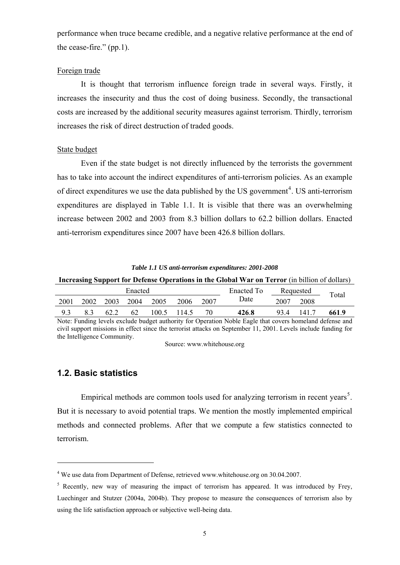<span id="page-14-0"></span>performance when truce became credible, and a negative relative performance at the end of the cease-fire." (pp.1).

#### Foreign trade

It is thought that terrorism influence foreign trade in several ways. Firstly, it increases the insecurity and thus the cost of doing business. Secondly, the transactional costs are increased by the additional security measures against terrorism. Thirdly, terrorism increases the risk of direct destruction of traded goods.

#### State budget

 Even if the state budget is not directly influenced by the terrorists the government has to take into account the indirect expenditures of anti-terrorism policies. As an example of direct expenditures we use the data published by the US government<sup>[4](#page-14-1)</sup>. US anti-terrorism expenditures are displayed in Table 1.1. It is visible that there was an overwhelming increase between 2002 and 2003 from 8.3 billion dollars to 62.2 billion dollars. Enacted anti-terrorism expenditures since 2007 have been 426.8 billion dollars.

#### *Table 1.1 US anti-terrorism expenditures: 2001-2008*

#### **Increasing Support for Defense Operations in the Global War on Terror** (in billion of dollars) Enacted **Enacted To** Requested 2001 2002 2003 2004 2005 2006 2007 Date 2007 2008 Total

9.3 8.3 62.2 62 100.5 114.5 70 **426**.**8** 93.4 141.7 **661**.**9**  Note: Funding levels exclude budget authority for Operation Noble Eagle that covers homeland defense and civil support missions in effect since the terrorist attacks on September 11, 2001. Levels include funding for the Intelligence Community.

Source: www.whitehouse.org

## **1.2. Basic statistics**

<u>.</u>

Empirical methods are common tools used for analyzing terrorism in recent years<sup>[5](#page-14-2)</sup>. But it is necessary to avoid potential traps. We mention the mostly implemented empirical methods and connected problems. After that we compute a few statistics connected to terrorism.

<span id="page-14-1"></span><sup>&</sup>lt;sup>4</sup> We use data from Department of Defense, retrieved www.whitehouse.org on 30.04.2007.

<span id="page-14-2"></span><sup>&</sup>lt;sup>5</sup> Recently, new way of measuring the impact of terrorism has appeared. It was introduced by Frey, Luechinger and Stutzer (2004a, 2004b). They propose to measure the consequences of terrorism also by using the life satisfaction approach or subjective well-being data.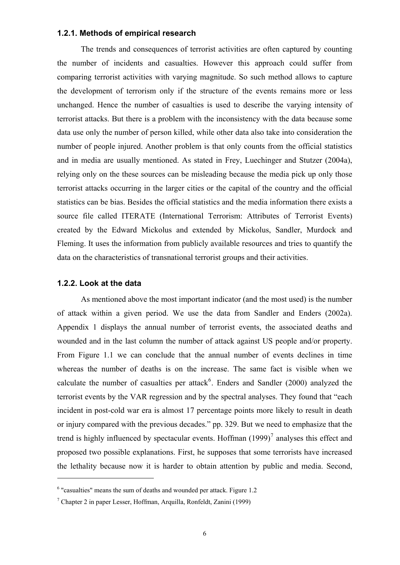#### <span id="page-15-0"></span>**1.2.1. Methods of empirical research**

The trends and consequences of terrorist activities are often captured by counting the number of incidents and casualties. However this approach could suffer from comparing terrorist activities with varying magnitude. So such method allows to capture the development of terrorism only if the structure of the events remains more or less unchanged. Hence the number of casualties is used to describe the varying intensity of terrorist attacks. But there is a problem with the inconsistency with the data because some data use only the number of person killed, while other data also take into consideration the number of people injured. Another problem is that only counts from the official statistics and in media are usually mentioned. As stated in Frey, Luechinger and Stutzer (2004a), relying only on the these sources can be misleading because the media pick up only those terrorist attacks occurring in the larger cities or the capital of the country and the official statistics can be bias. Besides the official statistics and the media information there exists a source file called ITERATE (International Terrorism: Attributes of Terrorist Events) created by the Edward Mickolus and extended by Mickolus, Sandler, Murdock and Fleming. It uses the information from publicly available resources and tries to quantify the data on the characteristics of transnational terrorist groups and their activities.

### **1.2.2. Look at the data**

1

 As mentioned above the most important indicator (and the most used) is the number of attack within a given period. We use the data from Sandler and Enders (2002a). Appendix 1 displays the annual number of terrorist events, the associated deaths and wounded and in the last column the number of attack against US people and/or property. From Figure 1.1 we can conclude that the annual number of events declines in time whereas the number of deaths is on the increase. The same fact is visible when we calculate the number of casualties per attack<sup>[6](#page-15-1)</sup>. Enders and Sandler  $(2000)$  analyzed the terrorist events by the VAR regression and by the spectral analyses. They found that "each incident in post-cold war era is almost 17 percentage points more likely to result in death or injury compared with the previous decades." pp. 329. But we need to emphasize that the trend is highly influenced by spectacular events. Hoffman  $(1999)^7$  $(1999)^7$  analyses this effect and proposed two possible explanations. First, he supposes that some terrorists have increased the lethality because now it is harder to obtain attention by public and media. Second,

<span id="page-15-1"></span> $6$  "casualties" means the sum of deaths and wounded per attack. Figure 1.2

<span id="page-15-2"></span><sup>7</sup> Chapter 2 in paper Lesser, Hoffman, Arquilla, Ronfeldt, Zanini (1999)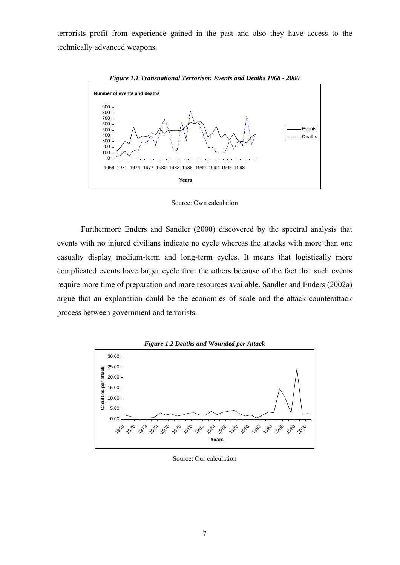<span id="page-16-0"></span>terrorists profit from experience gained in the past and also they have access to the technically advanced weapons.



*Figure 1.1 Transnational Terrorism: Events and Deaths 1968 - 2000* 

Source: Own calculation

 Furthermore Enders and Sandler (2000) discovered by the spectral analysis that events with no injured civilians indicate no cycle whereas the attacks with more than one casualty display medium-term and long-term cycles. It means that logistically more complicated events have larger cycle than the others because of the fact that such events require more time of preparation and more resources available. Sandler and Enders (2002a) argue that an explanation could be the economies of scale and the attack-counterattack process between government and terrorists.



Source: Our calculation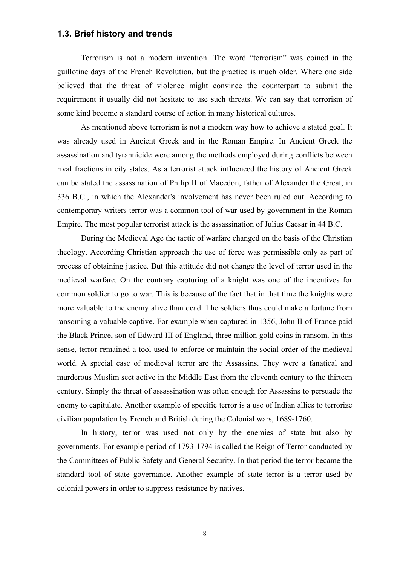## <span id="page-17-0"></span>**1.3. Brief history and trends**

 Terrorism is not a modern invention. The word "terrorism" was coined in the guillotine days of the French Revolution, but the practice is much older. Where one side believed that the threat of violence might convince the counterpart to submit the requirement it usually did not hesitate to use such threats. We can say that terrorism of some kind become a standard course of action in many historical cultures.

 As mentioned above terrorism is not a modern way how to achieve a stated goal. It was already used in Ancient Greek and in the Roman Empire. In Ancient Greek the assassination and tyrannicide were among the methods employed during conflicts between rival fractions in city states. As a terrorist attack influenced the history of Ancient Greek can be stated the assassination of Philip II of Macedon, father of Alexander the Great, in 336 B.C., in which the Alexander's involvement has never been ruled out. According to contemporary writers terror was a common tool of war used by government in the Roman Empire. The most popular terrorist attack is the assassination of Julius Caesar in 44 B.C.

 During the Medieval Age the tactic of warfare changed on the basis of the Christian theology. According Christian approach the use of force was permissible only as part of process of obtaining justice. But this attitude did not change the level of terror used in the medieval warfare. On the contrary capturing of a knight was one of the incentives for common soldier to go to war. This is because of the fact that in that time the knights were more valuable to the enemy alive than dead. The soldiers thus could make a fortune from ransoming a valuable captive. For example when captured in 1356, John II of France paid the Black Prince, son of Edward III of England, three million gold coins in ransom. In this sense, terror remained a tool used to enforce or maintain the social order of the medieval world. A special case of medieval terror are the Assassins. They were a fanatical and murderous Muslim sect active in the Middle East from the eleventh century to the thirteen century. Simply the threat of assassination was often enough for Assassins to persuade the enemy to capitulate. Another example of specific terror is a use of Indian allies to terrorize civilian population by French and British during the Colonial wars, 1689-1760.

 In history, terror was used not only by the enemies of state but also by governments. For example period of 1793-1794 is called the Reign of Terror conducted by the Committees of Public Safety and General Security. In that period the terror became the standard tool of state governance. Another example of state terror is a terror used by colonial powers in order to suppress resistance by natives.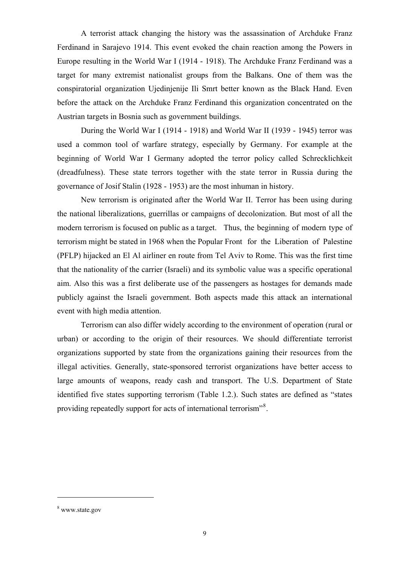A terrorist attack changing the history was the assassination of Archduke Franz Ferdinand in Sarajevo 1914. This event evoked the chain reaction among the Powers in Europe resulting in the World War I (1914 - 1918). The Archduke Franz Ferdinand was a target for many extremist nationalist groups from the Balkans. One of them was the conspiratorial organization Ujedinjenije Ili Smrt better known as the Black Hand. Even before the attack on the Archduke Franz Ferdinand this organization concentrated on the Austrian targets in Bosnia such as government buildings.

 During the World War I (1914 - 1918) and World War II (1939 - 1945) terror was used a common tool of warfare strategy, especially by Germany. For example at the beginning of World War I Germany adopted the terror policy called Schrecklichkeit (dreadfulness). These state terrors together with the state terror in Russia during the governance of Josif Stalin (1928 - 1953) are the most inhuman in history.

 New terrorism is originated after the World War II. Terror has been using during the national liberalizations, guerrillas or campaigns of decolonization. But most of all the modern terrorism is focused on public as a target. Thus, the beginning of modern type of terrorism might be stated in 1968 when the Popular Front for the Liberation of Palestine (PFLP) hijacked an El Al airliner en route from Tel Aviv to Rome. This was the first time that the nationality of the carrier (Israeli) and its symbolic value was a specific operational aim. Also this was a first deliberate use of the passengers as hostages for demands made publicly against the Israeli government. Both aspects made this attack an international event with high media attention.

 Terrorism can also differ widely according to the environment of operation (rural or urban) or according to the origin of their resources. We should differentiate terrorist organizations supported by state from the organizations gaining their resources from the illegal activities. Generally, state-sponsored terrorist organizations have better access to large amounts of weapons, ready cash and transport. The U.S. Department of State identified five states supporting terrorism (Table 1.2.). Such states are defined as "states providing repeatedly support for acts of international terrorism"<sup>[8](#page-18-0)</sup>.

<span id="page-18-0"></span><sup>8</sup> www.state.gov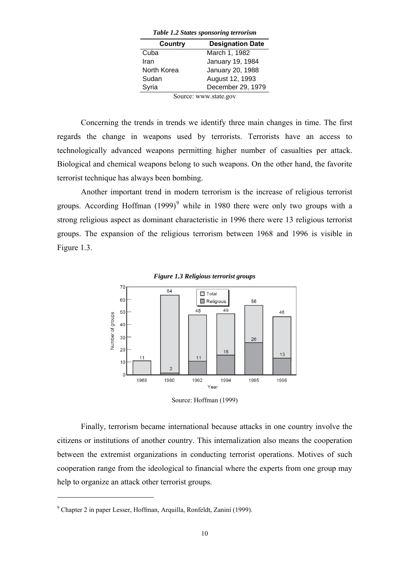| Table 1.2 States sponsoring terrorism |  |  |
|---------------------------------------|--|--|
| <b>Designation Date</b>               |  |  |
| March 1, 1982                         |  |  |
| January 19, 1984                      |  |  |
| January 20, 1988                      |  |  |
| August 12, 1993                       |  |  |
| December 29, 1979                     |  |  |
|                                       |  |  |

*Table 1.2 States sponsoring terrorism* 

Source: www.state.gov

<span id="page-19-0"></span> Concerning the trends in trends we identify three main changes in time. The first regards the change in weapons used by terrorists. Terrorists have an access to technologically advanced weapons permitting higher number of casualties per attack. Biological and chemical weapons belong to such weapons. On the other hand, the favorite terrorist technique has always been bombing.

 Another important trend in modern terrorism is the increase of religious terrorist groups. According Hoffman  $(1999)^9$  $(1999)^9$  $(1999)^9$  while in 1980 there were only two groups with a strong religious aspect as dominant characteristic in 1996 there were 13 religious terrorist groups. The expansion of the religious terrorism between 1968 and 1996 is visible in Figure 1.3.





Source: Hoffman (1999)

 Finally, terrorism became international because attacks in one country involve the citizens or institutions of another country. This internalization also means the cooperation between the extremist organizations in conducting terrorist operations. Motives of such cooperation range from the ideological to financial where the experts from one group may help to organize an attack other terrorist groups.

<span id="page-19-1"></span><sup>9</sup> Chapter 2 in paper Lesser, Hoffman, Arquilla, Ronfeldt, Zanini (1999).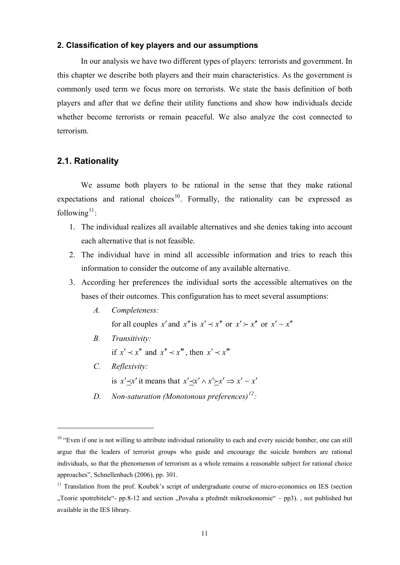#### <span id="page-20-0"></span>**2. Classification of key players and our assumptions**

 In our analysis we have two different types of players: terrorists and government. In this chapter we describe both players and their main characteristics. As the government is commonly used term we focus more on terrorists. We state the basis definition of both players and after that we define their utility functions and show how individuals decide whether become terrorists or remain peaceful. We also analyze the cost connected to terrorism.

## **2.1. Rationality**

 We assume both players to be rational in the sense that they make rational expectations and rational choices<sup>[10](#page-20-1)</sup>. Formally, the rationality can be expressed as following $11$ :

- 1. The individual realizes all available alternatives and she denies taking into account each alternative that is not feasible.
- 2. The individual have in mind all accessible information and tries to reach this information to consider the outcome of any available alternative.
- 3. According her preferences the individual sorts the accessible alternatives on the bases of their outcomes. This configuration has to meet several assumptions:
	- *A. Completeness:*

for all couples *x'* and *x''* is  $x' \prec x''$  or  $x' \succ x''$  or  $x' \sim x''$ 

*B. Transitivity:* 

if  $x' \prec x''$  and  $x'' \prec x'''$ , then  $x' \prec x'''$ 

*C. Reflexivity:* 

<span id="page-20-3"></span><u>.</u>

is  $x' \prec x'$  it means that  $x' \prec x' \land x' \succ x' \Rightarrow x' \sim x'$ 

*D. Non-saturation (Monotonous preferences)[12](#page-20-3) :* 

<span id="page-20-1"></span><sup>&</sup>lt;sup>10</sup> "Even if one is not willing to attribute individual rationality to each and every suicide bomber, one can still argue that the leaders of terrorist groups who guide and encourage the suicide bombers are rational individuals, so that the phenomenon of terrorism as a whole remains a reasonable subject for rational choice approaches", Schnellenbach (2006), pp. 301.

<span id="page-20-2"></span><sup>&</sup>lt;sup>11</sup> Translation from the prof. Koubek's script of undergraduate course of micro-economics on IES (section "Teorie spotrebitele"- pp.8-12 and section "Povaha a předmět mikroekonomie" – pp3). , not published but available in the IES library.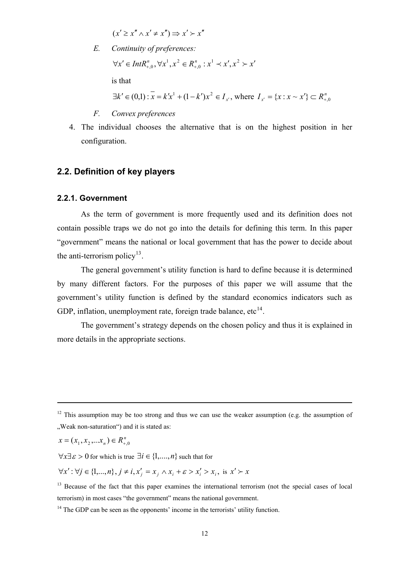$(x' \geq x'' \land x' \neq x'') \Rightarrow x' \succ x''$ 

<span id="page-21-0"></span>*E. Continuity of preferences:* 

 $\forall x' \in Int R_{+,0}^n, \forall x^1, x^2 \in R_{+,0}^n : x^1 \prec x', x^2 \succ x'$  $\forall x^1, x^2 \in R_{+,0}^n : x^1 \prec x',$ 

is that

$$
\exists k' \in (0,1) : \overline{x} = k'x^{1} + (1 - k')x^{2} \in I_{x'}, \text{ where } I_{x'} = \{x : x \sim x'\} \subset R_{+,0}^{n}
$$

- *F. Convex preferences*
- 4. The individual chooses the alternative that is on the highest position in her configuration.

#### **2.2. Definition of key players**

#### **2.2.1. Government**

As the term of government is more frequently used and its definition does not contain possible traps we do not go into the details for defining this term. In this paper "government" means the national or local government that has the power to decide about the anti-terrorism policy<sup>[13](#page-21-1)</sup>.

The general government's utility function is hard to define because it is determined by many different factors. For the purposes of this paper we will assume that the government's utility function is defined by the standard economics indicators such as GDP, inflation, unemployment rate, foreign trade balance,  $etc<sup>14</sup>$  $etc<sup>14</sup>$  $etc<sup>14</sup>$ .

 The government's strategy depends on the chosen policy and thus it is explained in more details in the appropriate sections.

$$
x = (x_1, x_2, \dots x_n) \in R_{+,0}^n
$$

1

 $\forall x \exists \varepsilon > 0$  for which is true  $\exists i \in \{1, ..., n\}$  such that for

 $\forall x': \forall j \in \{1,...,n\}, j \neq i, x'_{j} = x_{j} \land x_{i} + \varepsilon > x'_{i} > x_{i}, \text{ is } x' \succ x$ 

<span id="page-21-1"></span><sup>13</sup> Because of the fact that this paper examines the international terrorism (not the special cases of local terrorism) in most cases "the government" means the national government.

 $12$  This assumption may be too strong and thus we can use the weaker assumption (e.g. the assumption of "Weak non-saturation") and it is stated as:

<span id="page-21-2"></span> $14$  The GDP can be seen as the opponents' income in the terrorists' utility function.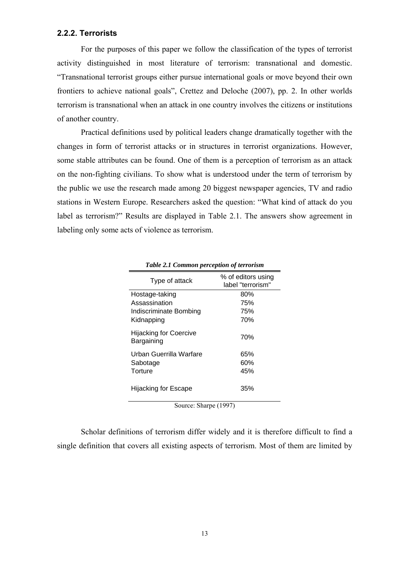## <span id="page-22-0"></span>**2.2.2. Terrorists**

 For the purposes of this paper we follow the classification of the types of terrorist activity distinguished in most literature of terrorism: transnational and domestic. "Transnational terrorist groups either pursue international goals or move beyond their own frontiers to achieve national goals", Crettez and Deloche (2007), pp. 2. In other worlds terrorism is transnational when an attack in one country involves the citizens or institutions of another country.

 Practical definitions used by political leaders change dramatically together with the changes in form of terrorist attacks or in structures in terrorist organizations. However, some stable attributes can be found. One of them is a perception of terrorism as an attack on the non-fighting civilians. To show what is understood under the term of terrorism by the public we use the research made among 20 biggest newspaper agencies, TV and radio stations in Western Europe. Researchers asked the question: "What kind of attack do you label as terrorism?" Results are displayed in Table 2.1. The answers show agreement in labeling only some acts of violence as terrorism.

| Type of attack                       | % of editors using<br>label "terrorism" |
|--------------------------------------|-----------------------------------------|
| Hostage-taking                       | 80%                                     |
| Assassination                        | 75%                                     |
| Indiscriminate Bombing               | 75%                                     |
| Kidnapping                           | 70%                                     |
| Hijacking for Coercive<br>Bargaining | 70%                                     |
| Urban Guerrilla Warfare              | 65%                                     |
| Sabotage                             | 60%                                     |
| Torture                              | 45%                                     |
| Hijacking for Escape                 | 35%                                     |

| Table 2.1 Common perception of terrorism |  |  |
|------------------------------------------|--|--|
|------------------------------------------|--|--|

Source: Sharpe (1997)

Scholar definitions of terrorism differ widely and it is therefore difficult to find a single definition that covers all existing aspects of terrorism. Most of them are limited by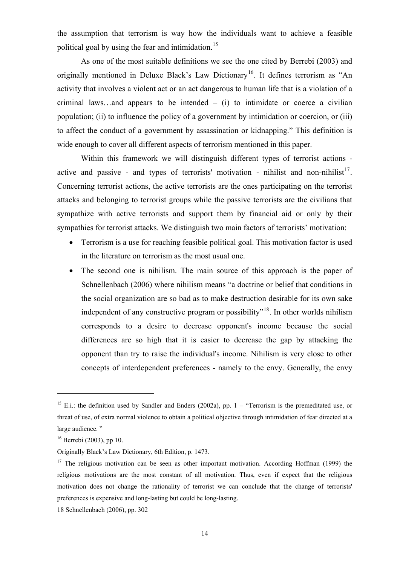the assumption that terrorism is way how the individuals want to achieve a feasible political goal by using the fear and intimidation.<sup>[15](#page-23-0)</sup>

 As one of the most suitable definitions we see the one cited by Berrebi (2003) and originally mentioned in Deluxe Black's Law Dictionary<sup>[16](#page-23-1)</sup>. It defines terrorism as "An activity that involves a violent act or an act dangerous to human life that is a violation of a criminal laws...and appears to be intended  $-$  (i) to intimidate or coerce a civilian population; (ii) to influence the policy of a government by intimidation or coercion, or (iii) to affect the conduct of a government by assassination or kidnapping." This definition is wide enough to cover all different aspects of terrorism mentioned in this paper.

 Within this framework we will distinguish different types of terrorist actions - active and passive - and types of terrorists' motivation - nihilist and non-nihilist<sup>[17](#page-23-2)</sup>. Concerning terrorist actions, the active terrorists are the ones participating on the terrorist attacks and belonging to terrorist groups while the passive terrorists are the civilians that sympathize with active terrorists and support them by financial aid or only by their sympathies for terrorist attacks. We distinguish two main factors of terrorists' motivation:

- Terrorism is a use for reaching feasible political goal. This motivation factor is used in the literature on terrorism as the most usual one.
- The second one is nihilism. The main source of this approach is the paper of Schnellenbach (2006) where nihilism means "a doctrine or belief that conditions in the social organization are so bad as to make destruction desirable for its own sake independent of any constructive program or possibility<sup> $n^{18}$  $n^{18}$  $n^{18}$ </sup>. In other worlds nihilism corresponds to a desire to decrease opponent's income because the social differences are so high that it is easier to decrease the gap by attacking the opponent than try to raise the individual's income. Nihilism is very close to other concepts of interdependent preferences - namely to the envy. Generally, the envy

1

<span id="page-23-0"></span><sup>&</sup>lt;sup>15</sup> E.i.: the definition used by Sandler and Enders (2002a), pp.  $1 -$  "Terrorism is the premeditated use, or threat of use, of extra normal violence to obtain a political objective through intimidation of fear directed at a large audience."

<span id="page-23-1"></span> $16$  Berrebi (2003), pp 10.

Originally Black's Law Dictionary, 6th Edition, p. 1473.

<span id="page-23-2"></span><sup>&</sup>lt;sup>17</sup> The religious motivation can be seen as other important motivation. According Hoffman (1999) the religious motivations are the most constant of all motivation. Thus, even if expect that the religious motivation does not change the rationality of terrorist we can conclude that the change of terrorists' preferences is expensive and long-lasting but could be long-lasting.

<span id="page-23-3"></span><sup>18</sup> Schnellenbach (2006), pp. 302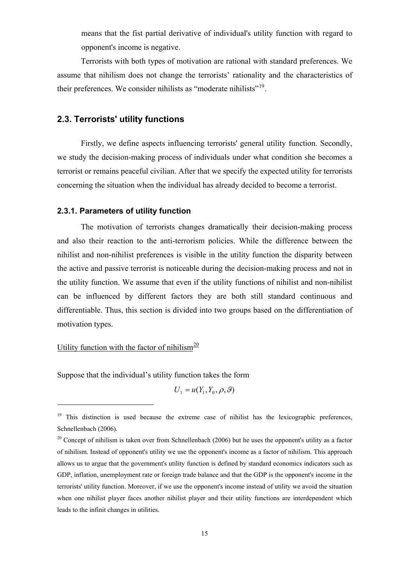means that the fist partial derivative of individual's utility function with regard to opponent's income is negative.

<span id="page-24-0"></span>Terrorists with both types of motivation are rational with standard preferences. We assume that nihilism does not change the terrorists' rationality and the characteristics of their preferences. We consider nihilists as "moderate nihilists"<sup>[19](#page-24-1)</sup>.

## **2.3. Terrorists' utility functions**

Firstly, we define aspects influencing terrorists' general utility function. Secondly, we study the decision-making process of individuals under what condition she becomes a terrorist or remains peaceful civilian. After that we specify the expected utility for terrorists concerning the situation when the individual has already decided to become a terrorist.

#### **2.3.1. Parameters of utility function**

 The motivation of terrorists changes dramatically their decision-making process and also their reaction to the anti-terrorism policies. While the difference between the nihilist and non-nihilist preferences is visible in the utility function the disparity between the active and passive terrorist is noticeable during the decision-making process and not in the utility function. We assume that even if the utility functions of nihilist and non-nihilist can be influenced by different factors they are both still standard continuous and differentiable. Thus, this section is divided into two groups based on the differentiation of motivation types.

## Utility function with the factor of nihilism<sup>[20](#page-24-2)</sup>

<u>.</u>

Suppose that the individual's utility function takes the form

$$
U_1 = u(Y_1, Y_0, \rho, \vartheta)
$$

<span id="page-24-1"></span> $19$  This distinction is used because the extreme case of nihilist has the lexicographic preferences, Schnellenbach (2006).

<span id="page-24-2"></span> $20$  Concept of nihilism is taken over from Schnellenbach (2006) but he uses the opponent's utility as a factor of nihilism. Instead of opponent's utility we use the opponent's income as a factor of nihilism. This approach allows us to argue that the government's utility function is defined by standard economics indicators such as GDP, inflation, unemployment rate or foreign trade balance and that the GDP is the opponent's income in the terrorists' utility function. Moreover, if we use the opponent's income instead of utility we avoid the situation when one nihilist player faces another nihilist player and their utility functions are interdependent which leads to the infinit changes in utilities.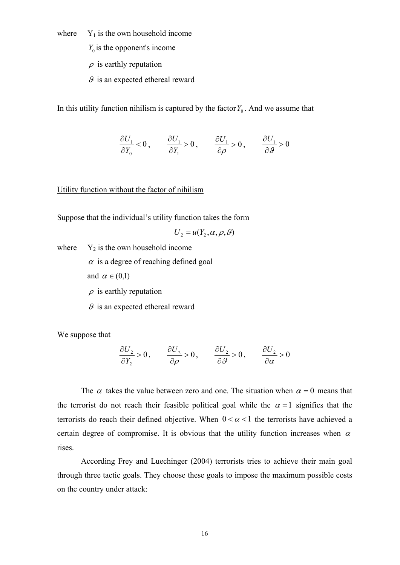where  $Y_1$  is the own household income

 $Y_0$  is the opponent's income

 $\rho$  is earthly reputation

 $\mathcal{G}$  is an expected ethereal reward

In this utility function nihilism is captured by the factor  $Y_0$ . And we assume that

$$
\frac{\partial U_1}{\partial Y_0} < 0 \,, \qquad \frac{\partial U_1}{\partial Y_1} > 0 \,, \qquad \frac{\partial U_1}{\partial \rho} > 0 \,, \qquad \frac{\partial U_1}{\partial \vartheta} > 0
$$

Utility function without the factor of nihilism

Suppose that the individual's utility function takes the form

$$
U_2 = u(Y_2, \alpha, \rho, \vartheta)
$$

where  $Y_2$  is the own household income

 $\alpha$  is a degree of reaching defined goal

and  $\alpha \in (0,1)$ 

 $\rho$  is earthly reputation

 $\mathcal{G}$  is an expected ethereal reward

We suppose that

$$
\frac{\partial U_2}{\partial Y_2} > 0, \qquad \frac{\partial U_2}{\partial \rho} > 0, \qquad \frac{\partial U_2}{\partial \theta} > 0, \qquad \frac{\partial U_2}{\partial \alpha} > 0
$$

The  $\alpha$  takes the value between zero and one. The situation when  $\alpha = 0$  means that the terrorist do not reach their feasible political goal while the  $\alpha = 1$  signifies that the terrorists do reach their defined objective. When  $0 < \alpha < 1$  the terrorists have achieved a certain degree of compromise. It is obvious that the utility function increases when  $\alpha$ rises.

 According Frey and Luechinger (2004) terrorists tries to achieve their main goal through three tactic goals. They choose these goals to impose the maximum possible costs on the country under attack: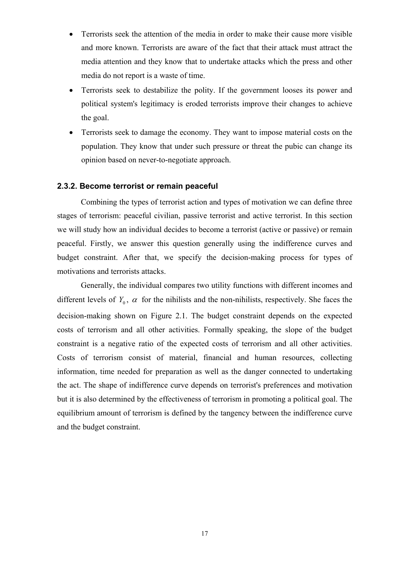- <span id="page-26-0"></span>• Terrorists seek the attention of the media in order to make their cause more visible and more known. Terrorists are aware of the fact that their attack must attract the media attention and they know that to undertake attacks which the press and other media do not report is a waste of time.
- Terrorists seek to destabilize the polity. If the government looses its power and political system's legitimacy is eroded terrorists improve their changes to achieve the goal.
- Terrorists seek to damage the economy. They want to impose material costs on the population. They know that under such pressure or threat the pubic can change its opinion based on never-to-negotiate approach.

#### **2.3.2. Become terrorist or remain peaceful**

 Combining the types of terrorist action and types of motivation we can define three stages of terrorism: peaceful civilian, passive terrorist and active terrorist. In this section we will study how an individual decides to become a terrorist (active or passive) or remain peaceful. Firstly, we answer this question generally using the indifference curves and budget constraint. After that, we specify the decision-making process for types of motivations and terrorists attacks.

 Generally, the individual compares two utility functions with different incomes and different levels of  $Y_0$ ,  $\alpha$  for the nihilists and the non-nihilists, respectively. She faces the decision-making shown on Figure 2.1. The budget constraint depends on the expected costs of terrorism and all other activities. Formally speaking, the slope of the budget constraint is a negative ratio of the expected costs of terrorism and all other activities. Costs of terrorism consist of material, financial and human resources, collecting information, time needed for preparation as well as the danger connected to undertaking the act. The shape of indifference curve depends on terrorist's preferences and motivation but it is also determined by the effectiveness of terrorism in promoting a political goal. The equilibrium amount of terrorism is defined by the tangency between the indifference curve and the budget constraint.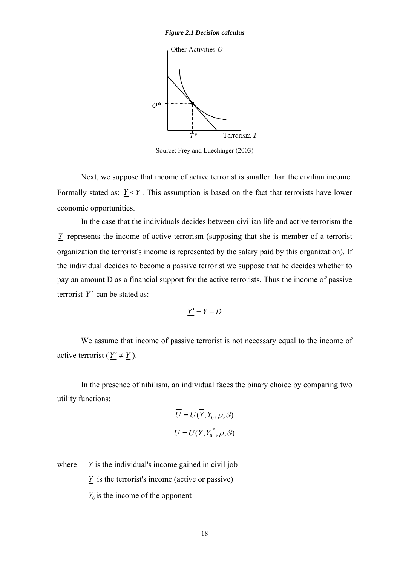<span id="page-27-0"></span>

Source: Frey and Luechinger (2003)

 Next, we suppose that income of active terrorist is smaller than the civilian income. Formally stated as:  $\underline{Y} < \overline{Y}$ . This assumption is based on the fact that terrorists have lower economic opportunities.

 In the case that the individuals decides between civilian life and active terrorism the *Y* represents the income of active terrorism (supposing that she is member of a terrorist organization the terrorist's income is represented by the salary paid by this organization). If the individual decides to become a passive terrorist we suppose that he decides whether to pay an amount D as a financial support for the active terrorists. Thus the income of passive terrorist  $Y'$  can be stated as:

$$
\underline{Y'} = \overline{Y} - D
$$

 We assume that income of passive terrorist is not necessary equal to the income of active terrorist ( $Y' \neq Y$ ).

 In the presence of nihilism, an individual faces the binary choice by comparing two utility functions:

$$
\overline{U} = U(\overline{Y}, Y_0, \rho, \vartheta)
$$

$$
\underline{U} = U(\underline{Y}, Y_0^*, \rho, \vartheta)
$$

where  $\overline{Y}$  is the individual's income gained in civil job

*Y* is the terrorist's income (active or passive)

 $Y_0$  is the income of the opponent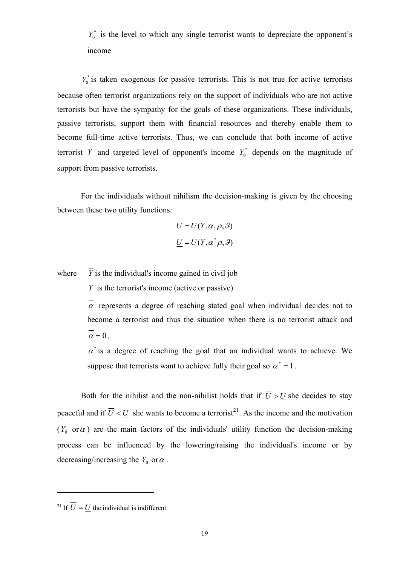$Y_0^*$  is the level to which any single terrorist wants to depreciate the opponent's income

 $Y_0^*$  is taken exogenous for passive terrorists. This is not true for active terrorists because often terrorist organizations rely on the support of individuals who are not active terrorists but have the sympathy for the goals of these organizations. These individuals, passive terrorists, support them with financial resources and thereby enable them to become full-time active terrorists. Thus, we can conclude that both income of active terrorist  $Y$  and targeted level of opponent's income  $Y_0^*$  depends on the magnitude of support from passive terrorists.

 For the individuals without nihilism the decision-making is given by the choosing between these two utility functions:

$$
\overline{U} = U(\overline{Y}, \overline{\alpha}, \rho, \vartheta)
$$

$$
\underline{U} = U(\underline{Y}, \alpha^* \rho, \vartheta)
$$

where  $\overline{Y}$  is the individual's income gained in civil job

 $\overline{Y}$  is the terrorist's income (active or passive)

 $\overline{\alpha}$  represents a degree of reaching stated goal when individual decides not to become a terrorist and thus the situation when there is no terrorist attack and  $\alpha = 0$ .

 $\alpha^*$  is a degree of reaching the goal that an individual wants to achieve. We suppose that terrorists want to achieve fully their goal so  $\alpha^* = 1$ .

Both for the nihilist and the non-nihilist holds that if  $\overline{U} > U$  she decides to stay peaceful and if  $\overline{U} < \underline{U}$  she wants to become a terrorist<sup>[21](#page-28-0)</sup>. As the income and the motivation ( $Y_0$  or  $\alpha$ ) are the main factors of the individuals' utility function the decision-making process can be influenced by the lowering/raising the individual's income or by decreasing/increasing the  $Y_0$  or  $\alpha$ .

<span id="page-28-0"></span><sup>21</sup> If  $\overline{U} = U$  the individual is indifferent.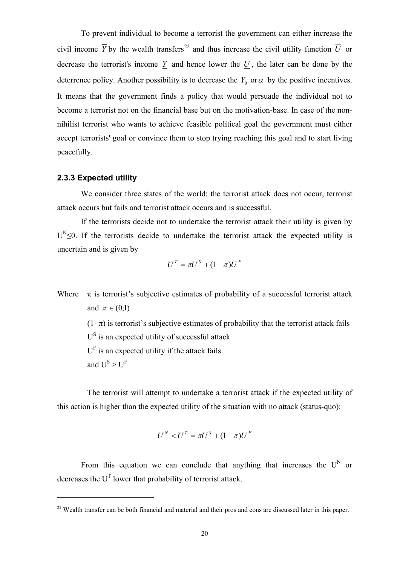<span id="page-29-0"></span> To prevent individual to become a terrorist the government can either increase the civil income  $\overline{Y}$  by the wealth transfers<sup>[22](#page-29-1)</sup> and thus increase the civil utility function  $\overline{U}$  or decrease the terrorist's income  $\overline{Y}$  and hence lower the  $U$ , the later can be done by the deterrence policy. Another possibility is to decrease the  $Y_0$  or  $\alpha$  by the positive incentives. It means that the government finds a policy that would persuade the individual not to become a terrorist not on the financial base but on the motivation-base. In case of the nonnihilist terrorist who wants to achieve feasible political goal the government must either accept terrorists' goal or convince them to stop trying reaching this goal and to start living peacefully.

## **2.3.3 Expected utility**

We consider three states of the world: the terrorist attack does not occur, terrorist attack occurs but fails and terrorist attack occurs and is successful.

 If the terrorists decide not to undertake the terrorist attack their utility is given by  $U^{N}$ <0. If the terrorists decide to undertake the terrorist attack the expected utility is uncertain and is given by

$$
U^T = \pi U^S + (1 - \pi)U^F
$$

Where  $\pi$  is terrorist's subjective estimates of probability of a successful terrorist attack and  $\pi \in (0;1)$ 

 $(1 - \pi)$  is terrorist's subjective estimates of probability that the terrorist attack fails  $U^{\rm S}$  is an expected utility of successful attack

 $U<sup>F</sup>$  is an expected utility if the attack fails

and  $U^S > U^F$ 

<u>.</u>

 The terrorist will attempt to undertake a terrorist attack if the expected utility of this action is higher than the expected utility of the situation with no attack (status-quo):

$$
U^N < U^T = \pi U^S + (1 - \pi)U^F
$$

From this equation we can conclude that anything that increases the  $U^N$  or decreases the  $U<sup>T</sup>$  lower that probability of terrorist attack.

<span id="page-29-1"></span><sup>&</sup>lt;sup>22</sup> Wealth transfer can be both financial and material and their pros and cons are discussed later in this paper.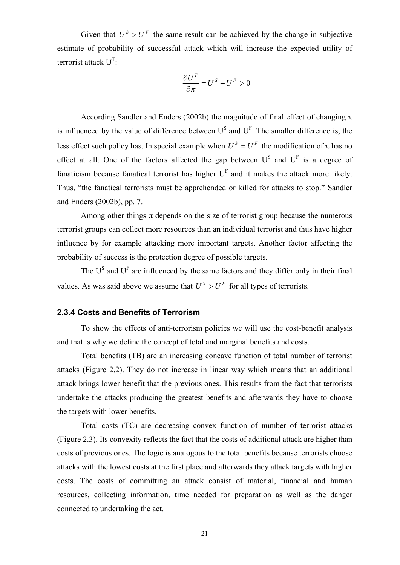<span id="page-30-0"></span>Given that  $U^S > U^F$  the same result can be achieved by the change in subjective estimate of probability of successful attack which will increase the expected utility of terrorist attack  $U^T$ :

$$
\frac{\partial U^T}{\partial \pi} = U^S - U^F > 0
$$

According Sandler and Enders (2002b) the magnitude of final effect of changing  $\pi$ is influenced by the value of difference between  $U^S$  and  $U^F$ . The smaller difference is, the less effect such policy has. In special example when  $U^S = U^F$  the modification of  $\pi$  has no effect at all. One of the factors affected the gap between  $U^S$  and  $U^F$  is a degree of fanaticism because fanatical terrorist has higher  $U<sup>F</sup>$  and it makes the attack more likely. Thus, "the fanatical terrorists must be apprehended or killed for attacks to stop." Sandler and Enders (2002b), pp. 7.

Among other things  $\pi$  depends on the size of terrorist group because the numerous terrorist groups can collect more resources than an individual terrorist and thus have higher influence by for example attacking more important targets. Another factor affecting the probability of success is the protection degree of possible targets.

The  $U^S$  and  $U^F$  are influenced by the same factors and they differ only in their final values. As was said above we assume that  $U^S > U^F$  for all types of terrorists.

### **2.3.4 Costs and Benefits of Terrorism**

 To show the effects of anti-terrorism policies we will use the cost-benefit analysis and that is why we define the concept of total and marginal benefits and costs.

 Total benefits (TB) are an increasing concave function of total number of terrorist attacks (Figure 2.2). They do not increase in linear way which means that an additional attack brings lower benefit that the previous ones. This results from the fact that terrorists undertake the attacks producing the greatest benefits and afterwards they have to choose the targets with lower benefits.

 Total costs (TC) are decreasing convex function of number of terrorist attacks (Figure 2.3). Its convexity reflects the fact that the costs of additional attack are higher than costs of previous ones. The logic is analogous to the total benefits because terrorists choose attacks with the lowest costs at the first place and afterwards they attack targets with higher costs. The costs of committing an attack consist of material, financial and human resources, collecting information, time needed for preparation as well as the danger connected to undertaking the act.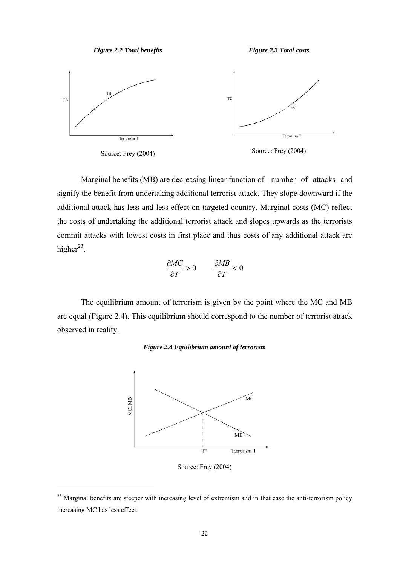

*Figure 2.3 Total costs* 

<span id="page-31-0"></span>



<u>.</u>

Source: Frey (2004)

 Marginal benefits (MB) are decreasing linear function of number of attacks and signify the benefit from undertaking additional terrorist attack. They slope downward if the additional attack has less and less effect on targeted country. Marginal costs (MC) reflect the costs of undertaking the additional terrorist attack and slopes upwards as the terrorists commit attacks with lowest costs in first place and thus costs of any additional attack are higher<sup>[23](#page-31-1)</sup>.

$$
\frac{\partial MC}{\partial T} > 0 \qquad \frac{\partial MB}{\partial T} < 0
$$

 The equilibrium amount of terrorism is given by the point where the MC and MB are equal (Figure 2.4). This equilibrium should correspond to the number of terrorist attack observed in reality.

#### *Figure 2.4 Equilibrium amount of terrorism*



Source: Frey (2004)

<span id="page-31-1"></span><sup>&</sup>lt;sup>23</sup> Marginal benefits are steeper with increasing level of extremism and in that case the anti-terrorism policy increasing MC has less effect.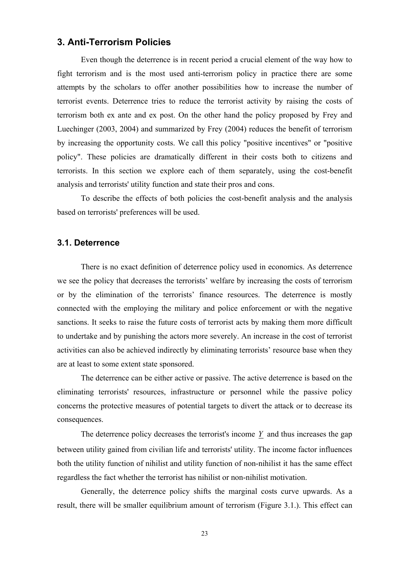## <span id="page-32-0"></span>**3. Anti-Terrorism Policies**

 Even though the deterrence is in recent period a crucial element of the way how to fight terrorism and is the most used anti-terrorism policy in practice there are some attempts by the scholars to offer another possibilities how to increase the number of terrorist events. Deterrence tries to reduce the terrorist activity by raising the costs of terrorism both ex ante and ex post. On the other hand the policy proposed by Frey and Luechinger (2003, 2004) and summarized by Frey (2004) reduces the benefit of terrorism by increasing the opportunity costs. We call this policy "positive incentives" or "positive policy". These policies are dramatically different in their costs both to citizens and terrorists. In this section we explore each of them separately, using the cost-benefit analysis and terrorists' utility function and state their pros and cons.

 To describe the effects of both policies the cost-benefit analysis and the analysis based on terrorists' preferences will be used.

#### **3.1. Deterrence**

There is no exact definition of deterrence policy used in economics. As deterrence we see the policy that decreases the terrorists' welfare by increasing the costs of terrorism or by the elimination of the terrorists' finance resources. The deterrence is mostly connected with the employing the military and police enforcement or with the negative sanctions. It seeks to raise the future costs of terrorist acts by making them more difficult to undertake and by punishing the actors more severely. An increase in the cost of terrorist activities can also be achieved indirectly by eliminating terrorists' resource base when they are at least to some extent state sponsored.

The deterrence can be either active or passive. The active deterrence is based on the eliminating terrorists' resources, infrastructure or personnel while the passive policy concerns the protective measures of potential targets to divert the attack or to decrease its consequences.

 The deterrence policy decreases the terrorist's income *Y* and thus increases the gap between utility gained from civilian life and terrorists' utility. The income factor influences both the utility function of nihilist and utility function of non-nihilist it has the same effect regardless the fact whether the terrorist has nihilist or non-nihilist motivation.

 Generally, the deterrence policy shifts the marginal costs curve upwards. As a result, there will be smaller equilibrium amount of terrorism (Figure 3.1.). This effect can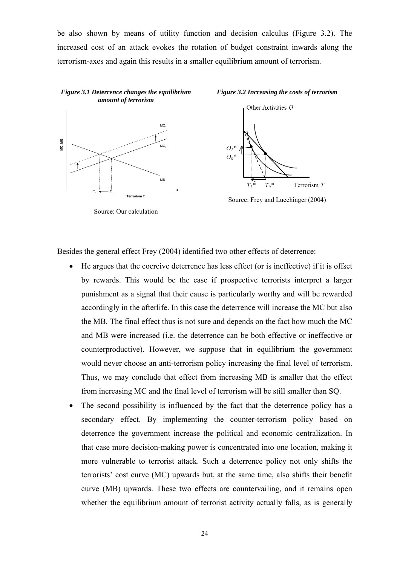<span id="page-33-0"></span>be also shown by means of utility function and decision calculus (Figure 3.2). The increased cost of an attack evokes the rotation of budget constraint inwards along the terrorism-axes and again this results in a smaller equilibrium amount of terrorism.



Source: Our calculation

Besides the general effect Frey (2004) identified two other effects of deterrence:

- He argues that the coercive deterrence has less effect (or is ineffective) if it is offset by rewards. This would be the case if prospective terrorists interpret a larger punishment as a signal that their cause is particularly worthy and will be rewarded accordingly in the afterlife. In this case the deterrence will increase the MC but also the MB. The final effect thus is not sure and depends on the fact how much the MC and MB were increased (i.e. the deterrence can be both effective or ineffective or counterproductive). However, we suppose that in equilibrium the government would never choose an anti-terrorism policy increasing the final level of terrorism. Thus, we may conclude that effect from increasing MB is smaller that the effect from increasing MC and the final level of terrorism will be still smaller than SQ.
- The second possibility is influenced by the fact that the deterrence policy has a secondary effect. By implementing the counter-terrorism policy based on deterrence the government increase the political and economic centralization. In that case more decision-making power is concentrated into one location, making it more vulnerable to terrorist attack. Such a deterrence policy not only shifts the terrorists' cost curve (MC) upwards but, at the same time, also shifts their benefit curve (MB) upwards. These two effects are countervailing, and it remains open whether the equilibrium amount of terrorist activity actually falls, as is generally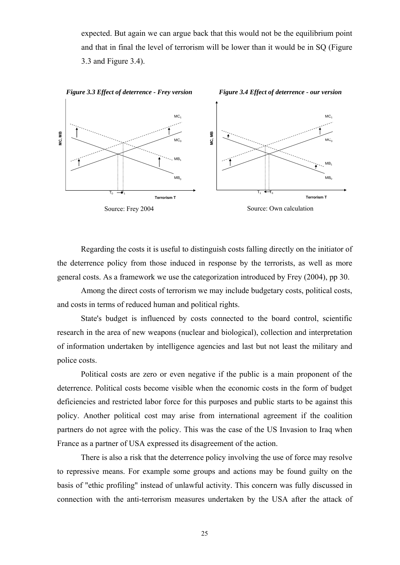<span id="page-34-0"></span>expected. But again we can argue back that this would not be the equilibrium point and that in final the level of terrorism will be lower than it would be in SQ (Figure 3.3 and Figure 3.4).



Regarding the costs it is useful to distinguish costs falling directly on the initiator of the deterrence policy from those induced in response by the terrorists, as well as more general costs. As a framework we use the categorization introduced by Frey (2004), pp 30.

Among the direct costs of terrorism we may include budgetary costs, political costs, and costs in terms of reduced human and political rights.

State's budget is influenced by costs connected to the board control, scientific research in the area of new weapons (nuclear and biological), collection and interpretation of information undertaken by intelligence agencies and last but not least the military and police costs.

Political costs are zero or even negative if the public is a main proponent of the deterrence. Political costs become visible when the economic costs in the form of budget deficiencies and restricted labor force for this purposes and public starts to be against this policy. Another political cost may arise from international agreement if the coalition partners do not agree with the policy. This was the case of the US Invasion to Iraq when France as a partner of USA expressed its disagreement of the action.

There is also a risk that the deterrence policy involving the use of force may resolve to repressive means. For example some groups and actions may be found guilty on the basis of "ethic profiling" instead of unlawful activity. This concern was fully discussed in connection with the anti-terrorism measures undertaken by the USA after the attack of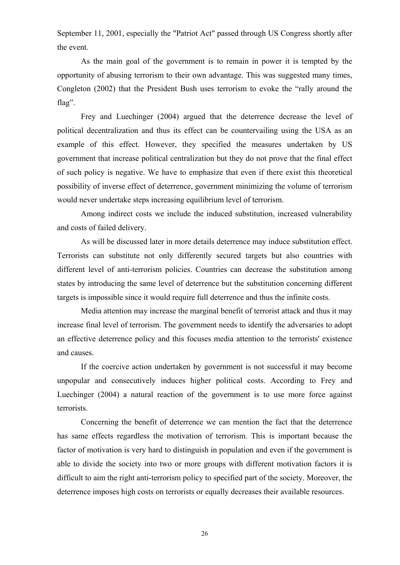September 11, 2001, especially the "Patriot Act" passed through US Congress shortly after the event.

As the main goal of the government is to remain in power it is tempted by the opportunity of abusing terrorism to their own advantage. This was suggested many times, Congleton (2002) that the President Bush uses terrorism to evoke the "rally around the flag".

Frey and Luechinger (2004) argued that the deterrence decrease the level of political decentralization and thus its effect can be countervailing using the USA as an example of this effect. However, they specified the measures undertaken by US government that increase political centralization but they do not prove that the final effect of such policy is negative. We have to emphasize that even if there exist this theoretical possibility of inverse effect of deterrence, government minimizing the volume of terrorism would never undertake steps increasing equilibrium level of terrorism.

 Among indirect costs we include the induced substitution, increased vulnerability and costs of failed delivery.

 As will be discussed later in more details deterrence may induce substitution effect. Terrorists can substitute not only differently secured targets but also countries with different level of anti-terrorism policies. Countries can decrease the substitution among states by introducing the same level of deterrence but the substitution concerning different targets is impossible since it would require full deterrence and thus the infinite costs.

 Media attention may increase the marginal benefit of terrorist attack and thus it may increase final level of terrorism. The government needs to identify the adversaries to adopt an effective deterrence policy and this focuses media attention to the terrorists' existence and causes.

 If the coercive action undertaken by government is not successful it may become unpopular and consecutively induces higher political costs. According to Frey and Luechinger (2004) a natural reaction of the government is to use more force against terrorists.

 Concerning the benefit of deterrence we can mention the fact that the deterrence has same effects regardless the motivation of terrorism. This is important because the factor of motivation is very hard to distinguish in population and even if the government is able to divide the society into two or more groups with different motivation factors it is difficult to aim the right anti-terrorism policy to specified part of the society. Moreover, the deterrence imposes high costs on terrorists or equally decreases their available resources.

26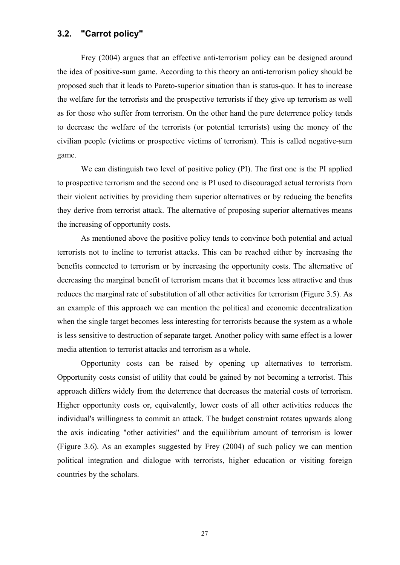## <span id="page-36-0"></span>**3.2. "Carrot policy"**

 Frey (2004) argues that an effective anti-terrorism policy can be designed around the idea of positive-sum game. According to this theory an anti-terrorism policy should be proposed such that it leads to Pareto-superior situation than is status-quo. It has to increase the welfare for the terrorists and the prospective terrorists if they give up terrorism as well as for those who suffer from terrorism. On the other hand the pure deterrence policy tends to decrease the welfare of the terrorists (or potential terrorists) using the money of the civilian people (victims or prospective victims of terrorism). This is called negative-sum game.

 We can distinguish two level of positive policy (PI). The first one is the PI applied to prospective terrorism and the second one is PI used to discouraged actual terrorists from their violent activities by providing them superior alternatives or by reducing the benefits they derive from terrorist attack. The alternative of proposing superior alternatives means the increasing of opportunity costs.

 As mentioned above the positive policy tends to convince both potential and actual terrorists not to incline to terrorist attacks. This can be reached either by increasing the benefits connected to terrorism or by increasing the opportunity costs. The alternative of decreasing the marginal benefit of terrorism means that it becomes less attractive and thus reduces the marginal rate of substitution of all other activities for terrorism (Figure 3.5). As an example of this approach we can mention the political and economic decentralization when the single target becomes less interesting for terrorists because the system as a whole is less sensitive to destruction of separate target. Another policy with same effect is a lower media attention to terrorist attacks and terrorism as a whole.

 Opportunity costs can be raised by opening up alternatives to terrorism. Opportunity costs consist of utility that could be gained by not becoming a terrorist. This approach differs widely from the deterrence that decreases the material costs of terrorism. Higher opportunity costs or, equivalently, lower costs of all other activities reduces the individual's willingness to commit an attack. The budget constraint rotates upwards along the axis indicating "other activities" and the equilibrium amount of terrorism is lower (Figure 3.6). As an examples suggested by Frey (2004) of such policy we can mention political integration and dialogue with terrorists, higher education or visiting foreign countries by the scholars.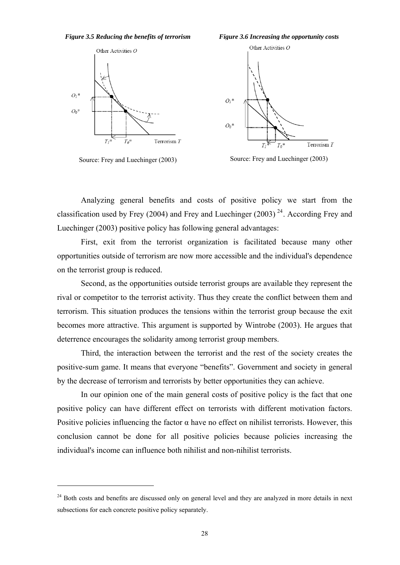<span id="page-37-0"></span>



Source: Frey and Luechinger (2003)

<u>.</u>





Source: Frey and Luechinger (2003)

 Analyzing general benefits and costs of positive policy we start from the classification used by Frey (2004) and Frey and Luechinger (2003)<sup>[24](#page-37-1)</sup>. According Frey and Luechinger (2003) positive policy has following general advantages:

 First, exit from the terrorist organization is facilitated because many other opportunities outside of terrorism are now more accessible and the individual's dependence on the terrorist group is reduced.

 Second, as the opportunities outside terrorist groups are available they represent the rival or competitor to the terrorist activity. Thus they create the conflict between them and terrorism. This situation produces the tensions within the terrorist group because the exit becomes more attractive. This argument is supported by Wintrobe (2003). He argues that deterrence encourages the solidarity among terrorist group members.

 Third, the interaction between the terrorist and the rest of the society creates the positive-sum game. It means that everyone "benefits". Government and society in general by the decrease of terrorism and terrorists by better opportunities they can achieve.

 In our opinion one of the main general costs of positive policy is the fact that one positive policy can have different effect on terrorists with different motivation factors. Positive policies influencing the factor  $\alpha$  have no effect on nihilist terrorists. However, this conclusion cannot be done for all positive policies because policies increasing the individual's income can influence both nihilist and non-nihilist terrorists.

<span id="page-37-1"></span><sup>&</sup>lt;sup>24</sup> Both costs and benefits are discussed only on general level and they are analyzed in more details in next subsections for each concrete positive policy separately.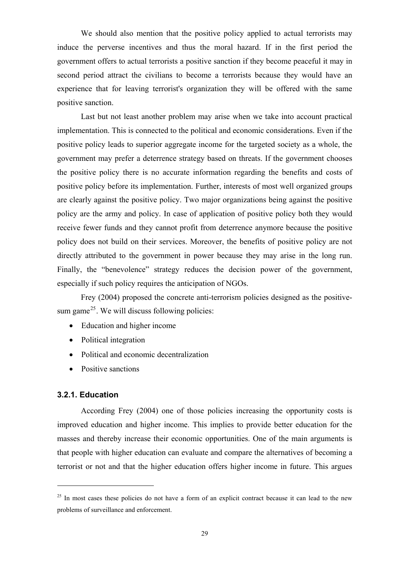<span id="page-38-0"></span>We should also mention that the positive policy applied to actual terrorists may induce the perverse incentives and thus the moral hazard. If in the first period the government offers to actual terrorists a positive sanction if they become peaceful it may in second period attract the civilians to become a terrorists because they would have an experience that for leaving terrorist's organization they will be offered with the same positive sanction.

 Last but not least another problem may arise when we take into account practical implementation. This is connected to the political and economic considerations. Even if the positive policy leads to superior aggregate income for the targeted society as a whole, the government may prefer a deterrence strategy based on threats. If the government chooses the positive policy there is no accurate information regarding the benefits and costs of positive policy before its implementation. Further, interests of most well organized groups are clearly against the positive policy. Two major organizations being against the positive policy are the army and policy. In case of application of positive policy both they would receive fewer funds and they cannot profit from deterrence anymore because the positive policy does not build on their services. Moreover, the benefits of positive policy are not directly attributed to the government in power because they may arise in the long run. Finally, the "benevolence" strategy reduces the decision power of the government, especially if such policy requires the anticipation of NGOs.

 Frey (2004) proposed the concrete anti-terrorism policies designed as the positive-sum game<sup>[25](#page-38-1)</sup>. We will discuss following policies:

- Education and higher income
- Political integration
- Political and economic decentralization
- Positive sanctions

#### **3.2.1. Education**

<u>.</u>

 According Frey (2004) one of those policies increasing the opportunity costs is improved education and higher income. This implies to provide better education for the masses and thereby increase their economic opportunities. One of the main arguments is that people with higher education can evaluate and compare the alternatives of becoming a terrorist or not and that the higher education offers higher income in future. This argues

<span id="page-38-1"></span><sup>&</sup>lt;sup>25</sup> In most cases these policies do not have a form of an explicit contract because it can lead to the new problems of surveillance and enforcement.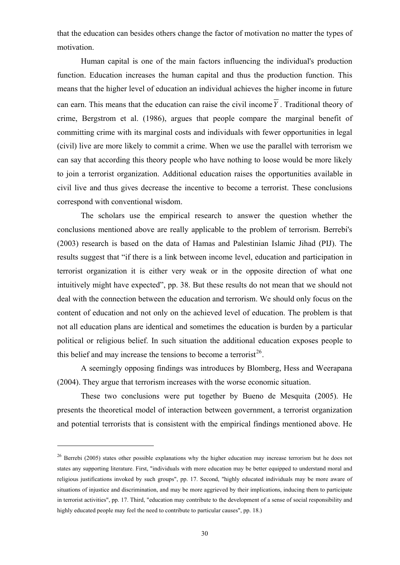that the education can besides others change the factor of motivation no matter the types of motivation.

 Human capital is one of the main factors influencing the individual's production function. Education increases the human capital and thus the production function. This means that the higher level of education an individual achieves the higher income in future can earn. This means that the education can raise the civil income  $\overline{Y}$ . Traditional theory of crime, Bergstrom et al. (1986), argues that people compare the marginal benefit of committing crime with its marginal costs and individuals with fewer opportunities in legal (civil) live are more likely to commit a crime. When we use the parallel with terrorism we can say that according this theory people who have nothing to loose would be more likely to join a terrorist organization. Additional education raises the opportunities available in civil live and thus gives decrease the incentive to become a terrorist. These conclusions correspond with conventional wisdom.

 The scholars use the empirical research to answer the question whether the conclusions mentioned above are really applicable to the problem of terrorism. Berrebi's (2003) research is based on the data of Hamas and Palestinian Islamic Jihad (PIJ). The results suggest that "if there is a link between income level, education and participation in terrorist organization it is either very weak or in the opposite direction of what one intuitively might have expected", pp. 38. But these results do not mean that we should not deal with the connection between the education and terrorism. We should only focus on the content of education and not only on the achieved level of education. The problem is that not all education plans are identical and sometimes the education is burden by a particular political or religious belief. In such situation the additional education exposes people to this belief and may increase the tensions to become a terrorist<sup>[26](#page-39-0)</sup>.

 A seemingly opposing findings was introduces by Blomberg, Hess and Weerapana (2004). They argue that terrorism increases with the worse economic situation.

 These two conclusions were put together by Bueno de Mesquita (2005). He presents the theoretical model of interaction between government, a terrorist organization and potential terrorists that is consistent with the empirical findings mentioned above. He

1

<span id="page-39-0"></span><sup>&</sup>lt;sup>26</sup> Berrebi (2005) states other possible explanations why the higher education may increase terrorism but he does not states any supporting literature. First, "individuals with more education may be better equipped to understand moral and religious justifications invoked by such groups", pp. 17. Second, "highly educated individuals may be more aware of situations of injustice and discrimination, and may be more aggrieved by their implications, inducing them to participate in terrorist activities", pp. 17. Third, "education may contribute to the development of a sense of social responsibility and highly educated people may feel the need to contribute to particular causes", pp. 18.)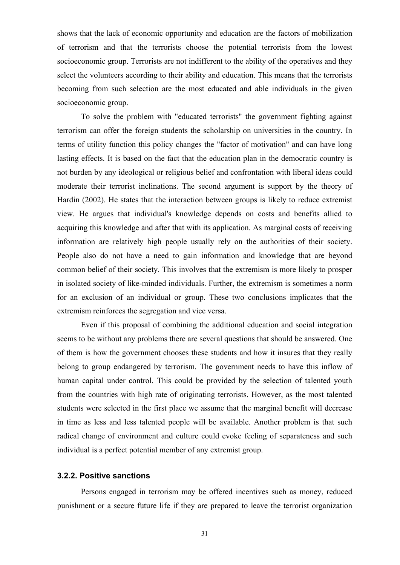<span id="page-40-0"></span>shows that the lack of economic opportunity and education are the factors of mobilization of terrorism and that the terrorists choose the potential terrorists from the lowest socioeconomic group. Terrorists are not indifferent to the ability of the operatives and they select the volunteers according to their ability and education. This means that the terrorists becoming from such selection are the most educated and able individuals in the given socioeconomic group.

 To solve the problem with "educated terrorists" the government fighting against terrorism can offer the foreign students the scholarship on universities in the country. In terms of utility function this policy changes the "factor of motivation" and can have long lasting effects. It is based on the fact that the education plan in the democratic country is not burden by any ideological or religious belief and confrontation with liberal ideas could moderate their terrorist inclinations. The second argument is support by the theory of Hardin (2002). He states that the interaction between groups is likely to reduce extremist view. He argues that individual's knowledge depends on costs and benefits allied to acquiring this knowledge and after that with its application. As marginal costs of receiving information are relatively high people usually rely on the authorities of their society. People also do not have a need to gain information and knowledge that are beyond common belief of their society. This involves that the extremism is more likely to prosper in isolated society of like-minded individuals. Further, the extremism is sometimes a norm for an exclusion of an individual or group. These two conclusions implicates that the extremism reinforces the segregation and vice versa.

 Even if this proposal of combining the additional education and social integration seems to be without any problems there are several questions that should be answered. One of them is how the government chooses these students and how it insures that they really belong to group endangered by terrorism. The government needs to have this inflow of human capital under control. This could be provided by the selection of talented youth from the countries with high rate of originating terrorists. However, as the most talented students were selected in the first place we assume that the marginal benefit will decrease in time as less and less talented people will be available. Another problem is that such radical change of environment and culture could evoke feeling of separateness and such individual is a perfect potential member of any extremist group.

#### **3.2.2. Positive sanctions**

 Persons engaged in terrorism may be offered incentives such as money, reduced punishment or a secure future life if they are prepared to leave the terrorist organization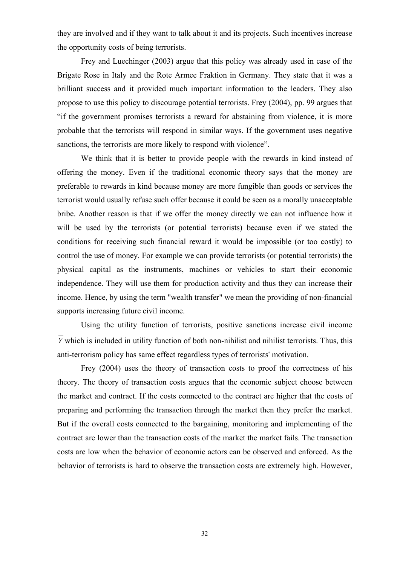they are involved and if they want to talk about it and its projects. Such incentives increase the opportunity costs of being terrorists.

 Frey and Luechinger (2003) argue that this policy was already used in case of the Brigate Rose in Italy and the Rote Armee Fraktion in Germany. They state that it was a brilliant success and it provided much important information to the leaders. They also propose to use this policy to discourage potential terrorists. Frey (2004), pp. 99 argues that "if the government promises terrorists a reward for abstaining from violence, it is more probable that the terrorists will respond in similar ways. If the government uses negative sanctions, the terrorists are more likely to respond with violence".

 We think that it is better to provide people with the rewards in kind instead of offering the money. Even if the traditional economic theory says that the money are preferable to rewards in kind because money are more fungible than goods or services the terrorist would usually refuse such offer because it could be seen as a morally unacceptable bribe. Another reason is that if we offer the money directly we can not influence how it will be used by the terrorists (or potential terrorists) because even if we stated the conditions for receiving such financial reward it would be impossible (or too costly) to control the use of money. For example we can provide terrorists (or potential terrorists) the physical capital as the instruments, machines or vehicles to start their economic independence. They will use them for production activity and thus they can increase their income. Hence, by using the term "wealth transfer" we mean the providing of non-financial supports increasing future civil income.

 Using the utility function of terrorists, positive sanctions increase civil income *Y* which is included in utility function of both non-nihilist and nihilist terrorists. Thus, this anti-terrorism policy has same effect regardless types of terrorists' motivation.

 Frey (2004) uses the theory of transaction costs to proof the correctness of his theory. The theory of transaction costs argues that the economic subject choose between the market and contract. If the costs connected to the contract are higher that the costs of preparing and performing the transaction through the market then they prefer the market. But if the overall costs connected to the bargaining, monitoring and implementing of the contract are lower than the transaction costs of the market the market fails. The transaction costs are low when the behavior of economic actors can be observed and enforced. As the behavior of terrorists is hard to observe the transaction costs are extremely high. However,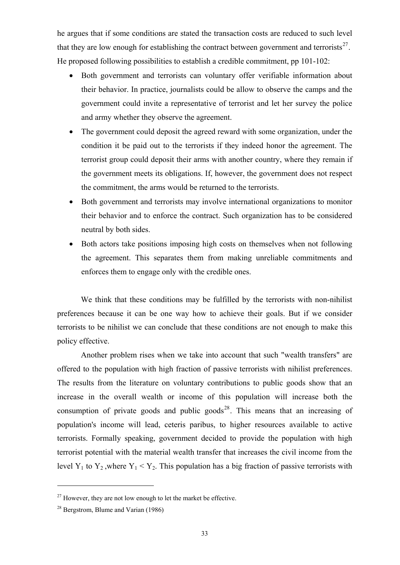he argues that if some conditions are stated the transaction costs are reduced to such level that they are low enough for establishing the contract between government and terrorists<sup>[27](#page-42-0)</sup>. He proposed following possibilities to establish a credible commitment, pp 101-102:

- Both government and terrorists can voluntary offer verifiable information about their behavior. In practice, journalists could be allow to observe the camps and the government could invite a representative of terrorist and let her survey the police and army whether they observe the agreement.
- The government could deposit the agreed reward with some organization, under the condition it be paid out to the terrorists if they indeed honor the agreement. The terrorist group could deposit their arms with another country, where they remain if the government meets its obligations. If, however, the government does not respect the commitment, the arms would be returned to the terrorists.
- Both government and terrorists may involve international organizations to monitor their behavior and to enforce the contract. Such organization has to be considered neutral by both sides.
- Both actors take positions imposing high costs on themselves when not following the agreement. This separates them from making unreliable commitments and enforces them to engage only with the credible ones.

 We think that these conditions may be fulfilled by the terrorists with non-nihilist preferences because it can be one way how to achieve their goals. But if we consider terrorists to be nihilist we can conclude that these conditions are not enough to make this policy effective.

 Another problem rises when we take into account that such "wealth transfers" are offered to the population with high fraction of passive terrorists with nihilist preferences. The results from the literature on voluntary contributions to public goods show that an increase in the overall wealth or income of this population will increase both the consumption of private goods and public goods<sup>[28](#page-42-1)</sup>. This means that an increasing of population's income will lead, ceteris paribus, to higher resources available to active terrorists. Formally speaking, government decided to provide the population with high terrorist potential with the material wealth transfer that increases the civil income from the level Y<sub>1</sub> to Y<sub>2</sub>, where Y<sub>1</sub> < Y<sub>2</sub>. This population has a big fraction of passive terrorists with

<span id="page-42-0"></span> $27$  However, they are not low enough to let the market be effective.

<span id="page-42-1"></span><sup>28</sup> Bergstrom, Blume and Varian (1986)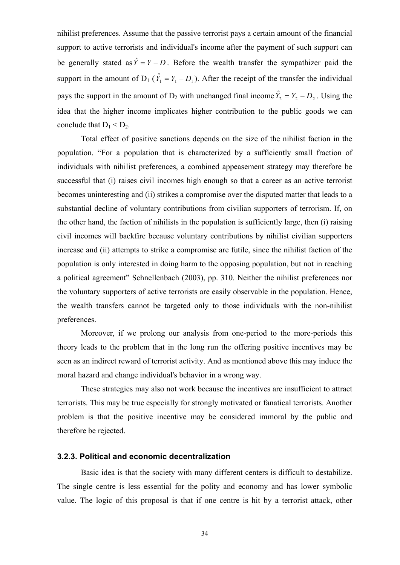<span id="page-43-0"></span>nihilist preferences. Assume that the passive terrorist pays a certain amount of the financial support to active terrorists and individual's income after the payment of such support can be generally stated as  $\hat{Y} = Y - D$ . Before the wealth transfer the sympathizer paid the support in the amount of  $D_1$  ( $\hat{Y}_1 = Y_1 - D_1$ ). After the receipt of the transfer the individual pays the support in the amount of  $D_2$  with unchanged final income  $\hat{Y}_2 = Y_2 - D_2$ . Using the idea that the higher income implicates higher contribution to the public goods we can conclude that  $D_1 < D_2$ .

 Total effect of positive sanctions depends on the size of the nihilist faction in the population. "For a population that is characterized by a sufficiently small fraction of individuals with nihilist preferences, a combined appeasement strategy may therefore be successful that (i) raises civil incomes high enough so that a career as an active terrorist becomes uninteresting and (ii) strikes a compromise over the disputed matter that leads to a substantial decline of voluntary contributions from civilian supporters of terrorism. If, on the other hand, the faction of nihilists in the population is sufficiently large, then (i) raising civil incomes will backfire because voluntary contributions by nihilist civilian supporters increase and (ii) attempts to strike a compromise are futile, since the nihilist faction of the population is only interested in doing harm to the opposing population, but not in reaching a political agreement" Schnellenbach (2003), pp. 310. Neither the nihilist preferences nor the voluntary supporters of active terrorists are easily observable in the population. Hence, the wealth transfers cannot be targeted only to those individuals with the non-nihilist preferences.

 Moreover, if we prolong our analysis from one-period to the more-periods this theory leads to the problem that in the long run the offering positive incentives may be seen as an indirect reward of terrorist activity. And as mentioned above this may induce the moral hazard and change individual's behavior in a wrong way.

 These strategies may also not work because the incentives are insufficient to attract terrorists. This may be true especially for strongly motivated or fanatical terrorists. Another problem is that the positive incentive may be considered immoral by the public and therefore be rejected.

### **3.2.3. Political and economic decentralization**

 Basic idea is that the society with many different centers is difficult to destabilize. The single centre is less essential for the polity and economy and has lower symbolic value. The logic of this proposal is that if one centre is hit by a terrorist attack, other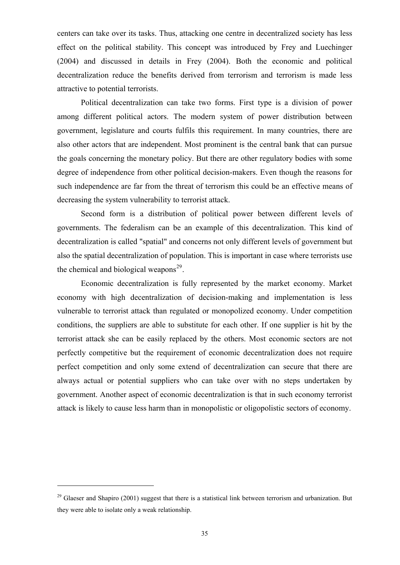centers can take over its tasks. Thus, attacking one centre in decentralized society has less effect on the political stability. This concept was introduced by Frey and Luechinger (2004) and discussed in details in Frey (2004). Both the economic and political decentralization reduce the benefits derived from terrorism and terrorism is made less attractive to potential terrorists.

 Political decentralization can take two forms. First type is a division of power among different political actors. The modern system of power distribution between government, legislature and courts fulfils this requirement. In many countries, there are also other actors that are independent. Most prominent is the central bank that can pursue the goals concerning the monetary policy. But there are other regulatory bodies with some degree of independence from other political decision-makers. Even though the reasons for such independence are far from the threat of terrorism this could be an effective means of decreasing the system vulnerability to terrorist attack.

 Second form is a distribution of political power between different levels of governments. The federalism can be an example of this decentralization. This kind of decentralization is called "spatial" and concerns not only different levels of government but also the spatial decentralization of population. This is important in case where terrorists use the chemical and biological weapons $^{29}$  $^{29}$  $^{29}$ .

 Economic decentralization is fully represented by the market economy. Market economy with high decentralization of decision-making and implementation is less vulnerable to terrorist attack than regulated or monopolized economy. Under competition conditions, the suppliers are able to substitute for each other. If one supplier is hit by the terrorist attack she can be easily replaced by the others. Most economic sectors are not perfectly competitive but the requirement of economic decentralization does not require perfect competition and only some extend of decentralization can secure that there are always actual or potential suppliers who can take over with no steps undertaken by government. Another aspect of economic decentralization is that in such economy terrorist attack is likely to cause less harm than in monopolistic or oligopolistic sectors of economy.

<span id="page-44-0"></span> $^{29}$  Glaeser and Shapiro (2001) suggest that there is a statistical link between terrorism and urbanization. But they were able to isolate only a weak relationship.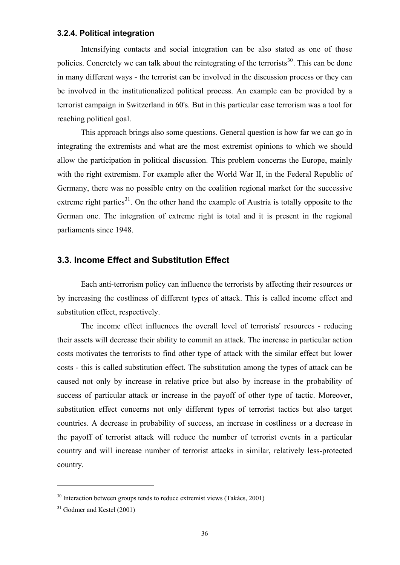#### <span id="page-45-0"></span>**3.2.4. Political integration**

 Intensifying contacts and social integration can be also stated as one of those policies. Concretely we can talk about the reintegrating of the terrorists<sup>[30](#page-45-1)</sup>. This can be done in many different ways - the terrorist can be involved in the discussion process or they can be involved in the institutionalized political process. An example can be provided by a terrorist campaign in Switzerland in 60's. But in this particular case terrorism was a tool for reaching political goal.

 This approach brings also some questions. General question is how far we can go in integrating the extremists and what are the most extremist opinions to which we should allow the participation in political discussion. This problem concerns the Europe, mainly with the right extremism. For example after the World War II, in the Federal Republic of Germany, there was no possible entry on the coalition regional market for the successive extreme right parties<sup>[31](#page-45-2)</sup>. On the other hand the example of Austria is totally opposite to the German one. The integration of extreme right is total and it is present in the regional parliaments since 1948.

## **3.3. Income Effect and Substitution Effect**

 Each anti-terrorism policy can influence the terrorists by affecting their resources or by increasing the costliness of different types of attack. This is called income effect and substitution effect, respectively.

 The income effect influences the overall level of terrorists' resources - reducing their assets will decrease their ability to commit an attack. The increase in particular action costs motivates the terrorists to find other type of attack with the similar effect but lower costs - this is called substitution effect. The substitution among the types of attack can be caused not only by increase in relative price but also by increase in the probability of success of particular attack or increase in the payoff of other type of tactic. Moreover, substitution effect concerns not only different types of terrorist tactics but also target countries. A decrease in probability of success, an increase in costliness or a decrease in the payoff of terrorist attack will reduce the number of terrorist events in a particular country and will increase number of terrorist attacks in similar, relatively less-protected country.

<span id="page-45-1"></span> $30$  Interaction between groups tends to reduce extremist views (Takács, 2001)

<span id="page-45-2"></span> $31$  Godmer and Kestel (2001)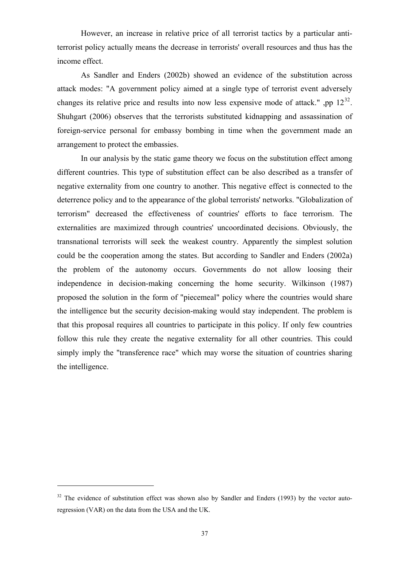However, an increase in relative price of all terrorist tactics by a particular antiterrorist policy actually means the decrease in terrorists' overall resources and thus has the income effect.

 As Sandler and Enders (2002b) showed an evidence of the substitution across attack modes: "A government policy aimed at a single type of terrorist event adversely changes its relative price and results into now less expensive mode of attack.", pp  $12^{32}$  $12^{32}$  $12^{32}$ . Shuhgart (2006) observes that the terrorists substituted kidnapping and assassination of foreign-service personal for embassy bombing in time when the government made an arrangement to protect the embassies.

 In our analysis by the static game theory we focus on the substitution effect among different countries. This type of substitution effect can be also described as a transfer of negative externality from one country to another. This negative effect is connected to the deterrence policy and to the appearance of the global terrorists' networks. "Globalization of terrorism" decreased the effectiveness of countries' efforts to face terrorism. The externalities are maximized through countries' uncoordinated decisions. Obviously, the transnational terrorists will seek the weakest country. Apparently the simplest solution could be the cooperation among the states. But according to Sandler and Enders (2002a) the problem of the autonomy occurs. Governments do not allow loosing their independence in decision-making concerning the home security. Wilkinson (1987) proposed the solution in the form of "piecemeal" policy where the countries would share the intelligence but the security decision-making would stay independent. The problem is that this proposal requires all countries to participate in this policy. If only few countries follow this rule they create the negative externality for all other countries. This could simply imply the "transference race" which may worse the situation of countries sharing the intelligence.

<span id="page-46-0"></span> $32$  The evidence of substitution effect was shown also by Sandler and Enders (1993) by the vector autoregression (VAR) on the data from the USA and the UK.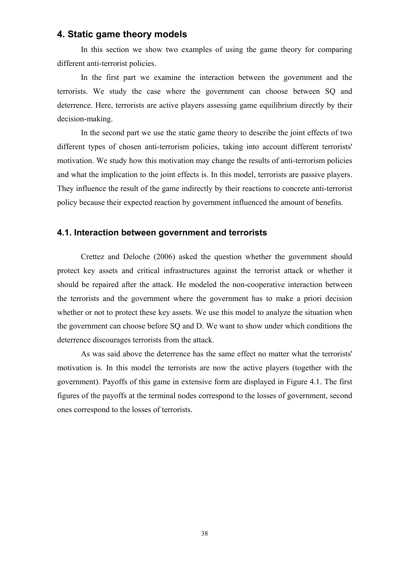## <span id="page-47-0"></span>**4. Static game theory models**

 In this section we show two examples of using the game theory for comparing different anti-terrorist policies.

 In the first part we examine the interaction between the government and the terrorists. We study the case where the government can choose between SQ and deterrence. Here, terrorists are active players assessing game equilibrium directly by their decision-making.

 In the second part we use the static game theory to describe the joint effects of two different types of chosen anti-terrorism policies, taking into account different terrorists' motivation. We study how this motivation may change the results of anti-terrorism policies and what the implication to the joint effects is. In this model, terrorists are passive players. They influence the result of the game indirectly by their reactions to concrete anti-terrorist policy because their expected reaction by government influenced the amount of benefits.

## **4.1. Interaction between government and terrorists**

 Crettez and Deloche (2006) asked the question whether the government should protect key assets and critical infrastructures against the terrorist attack or whether it should be repaired after the attack. He modeled the non-cooperative interaction between the terrorists and the government where the government has to make a priori decision whether or not to protect these key assets. We use this model to analyze the situation when the government can choose before SQ and D. We want to show under which conditions the deterrence discourages terrorists from the attack.

 As was said above the deterrence has the same effect no matter what the terrorists' motivation is. In this model the terrorists are now the active players (together with the government). Payoffs of this game in extensive form are displayed in Figure 4.1. The first figures of the payoffs at the terminal nodes correspond to the losses of government, second ones correspond to the losses of terrorists.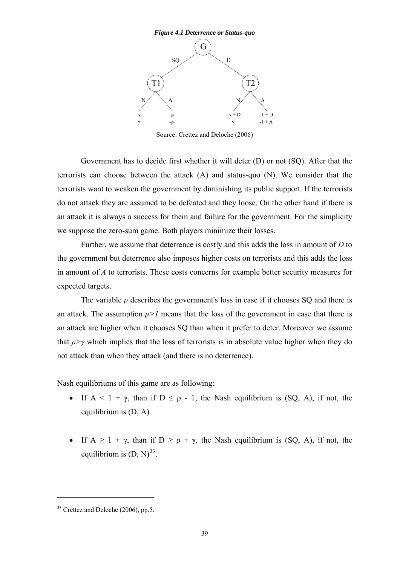<span id="page-48-0"></span>

Source: Crettez and Deloche (2006)

 Government has to decide first whether it will deter (D) or not (SQ). After that the terrorists can choose between the attack (A) and status-quo (N). We consider that the terrorists want to weaken the government by diminishing its public support. If the terrorists do not attack they are assumed to be defeated and they loose. On the other hand if there is an attack it is always a success for them and failure for the government. For the simplicity we suppose the zero-sum game. Both players minimize their losses.

 Further, we assume that deterrence is costly and this adds the loss in amount of *D* to the government but deterrence also imposes higher costs on terrorists and this adds the loss in amount of *A* to terrorists. These costs concerns for example better security measures for expected targets.

The variable  $\rho$  describes the government's loss in case if it chooses SQ and there is an attack. The assumption  $\rho > 1$  means that the loss of the government in case that there is an attack are higher when it chooses SQ than when it prefer to deter. Moreover we assume that  $\rho$ >*γ* which implies that the loss of terrorists is in absolute value higher when they do not attack than when they attack (and there is no deterrence).

Nash equilibriums of this game are as following:

- If  $A < 1 + \gamma$ , than if  $D \le \rho 1$ , the Nash equilibrium is (SQ, A), if not, the equilibrium is (D, A).
- If  $A \ge 1 + \gamma$ , than if  $D \ge \rho + \gamma$ , the Nash equilibrium is (SQ, A), if not, the equilibrium is  $(D, N)^{33}$  $(D, N)^{33}$  $(D, N)^{33}$ .

<span id="page-48-1"></span><sup>33</sup> Crettez and Deloche (2006), pp.5.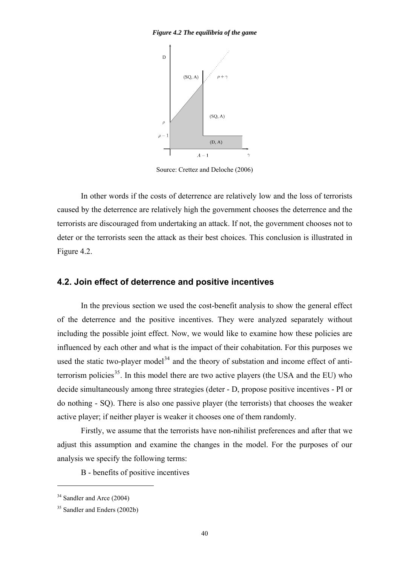#### <span id="page-49-0"></span>*Figure 4.2 The equilibria of the game*



Source: Crettez and Deloche (2006)

 In other words if the costs of deterrence are relatively low and the loss of terrorists caused by the deterrence are relatively high the government chooses the deterrence and the terrorists are discouraged from undertaking an attack. If not, the government chooses not to deter or the terrorists seen the attack as their best choices. This conclusion is illustrated in Figure 4.2.

## **4.2. Join effect of deterrence and positive incentives**

In the previous section we used the cost-benefit analysis to show the general effect of the deterrence and the positive incentives. They were analyzed separately without including the possible joint effect. Now, we would like to examine how these policies are influenced by each other and what is the impact of their cohabitation. For this purposes we used the static two-player model<sup>[34](#page-49-1)</sup> and the theory of substation and income effect of antiterrorism policies<sup>35</sup>. In this model there are two active players (the USA and the EU) who decide simultaneously among three strategies (deter - D, propose positive incentives - PI or do nothing - SQ). There is also one passive player (the terrorists) that chooses the weaker active player; if neither player is weaker it chooses one of them randomly.

Firstly, we assume that the terrorists have non-nihilist preferences and after that we adjust this assumption and examine the changes in the model. For the purposes of our analysis we specify the following terms:

B - benefits of positive incentives

<span id="page-49-1"></span><sup>&</sup>lt;sup>34</sup> Sandler and Arce (2004)

<span id="page-49-2"></span><sup>35</sup> Sandler and Enders (2002b)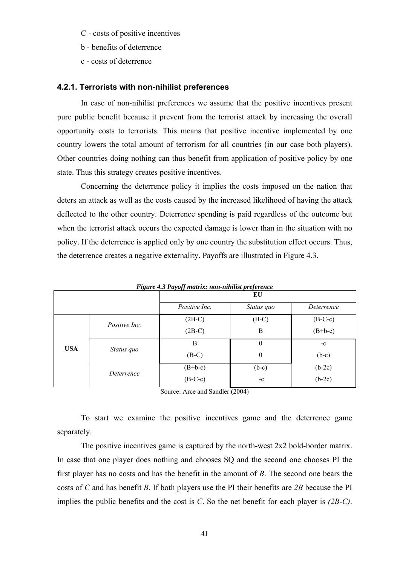- <span id="page-50-0"></span>C - costs of positive incentives
- b benefits of deterrence
- c costs of deterrence

#### **4.2.1. Terrorists with non-nihilist preferences**

In case of non-nihilist preferences we assume that the positive incentives present pure public benefit because it prevent from the terrorist attack by increasing the overall opportunity costs to terrorists. This means that positive incentive implemented by one country lowers the total amount of terrorism for all countries (in our case both players). Other countries doing nothing can thus benefit from application of positive policy by one state. Thus this strategy creates positive incentives.

 Concerning the deterrence policy it implies the costs imposed on the nation that deters an attack as well as the costs caused by the increased likelihood of having the attack deflected to the other country. Deterrence spending is paid regardless of the outcome but when the terrorist attack occurs the expected damage is lower than in the situation with no policy. If the deterrence is applied only by one country the substitution effect occurs. Thus, the deterrence creates a negative externality. Payoffs are illustrated in Figure 4.3.

| г ізме 7.5 і ауод тан іх. пон-піннім редегенсе |               |               |            |            |
|------------------------------------------------|---------------|---------------|------------|------------|
|                                                |               | EU            |            |            |
|                                                |               | Positive Inc. | Status quo | Deterrence |
|                                                | Positive Inc. | $(2B-C)$      | $(B-C)$    | $(B-C-c)$  |
|                                                |               | $(2B-C)$      | B          | $(B+b-c)$  |
| <b>USA</b>                                     | Status quo    | B             | 0          | $-c$       |
|                                                |               | $(B-C)$       | 0          | $(b-c)$    |
|                                                | Deterrence    | $(B+b-c)$     | $(b-c)$    | $(b-2c)$   |
|                                                |               | $(B-C-c)$     | $-c$       | $(b-2c)$   |

*Figure 4.3 Payoff matrix: non-nihilist preference* 

Source: Arce and Sandler (2004)

 To start we examine the positive incentives game and the deterrence game separately.

 The positive incentives game is captured by the north-west 2x2 bold-border matrix. In case that one player does nothing and chooses SQ and the second one chooses PI the first player has no costs and has the benefit in the amount of *B*. The second one bears the costs of *C* and has benefit *B*. If both players use the PI their benefits are *2B* because the PI implies the public benefits and the cost is *C*. So the net benefit for each player is *(2B-C)*.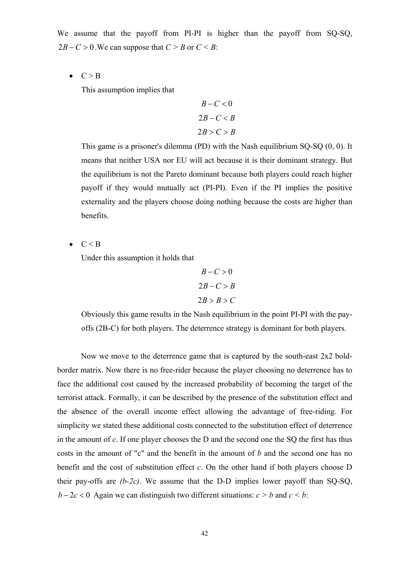We assume that the payoff from PI-PI is higher than the payoff from SO-SO,  $2B - C > 0$ . We can suppose that  $C > B$  or  $C < B$ :

 $\bullet \quad C > B$ 

This assumption implies that

$$
B-C<0
$$
  
2B-C < B  
2B > C > B

This game is a prisoner's dilemma (PD) with the Nash equilibrium SQ-SQ (0, 0). It means that neither USA nor EU will act because it is their dominant strategy. But the equilibrium is not the Pareto dominant because both players could reach higher payoff if they would mutually act (PI-PI). Even if the PI implies the positive externality and the players choose doing nothing because the costs are higher than benefits.

 $C < B$ 

Under this assumption it holds that

$$
B-C > 0
$$
  
2B-C > B  
2B > B > C

Obviously this game results in the Nash equilibrium in the point PI-PI with the payoffs (2B-C) for both players. The deterrence strategy is dominant for both players.

 Now we move to the deterrence game that is captured by the south-east 2x2 boldborder matrix. Now there is no free-rider because the player choosing no deterrence has to face the additional cost caused by the increased probability of becoming the target of the terrorist attack. Formally, it can be described by the presence of the substitution effect and the absence of the overall income effect allowing the advantage of free-riding. For simplicity we stated these additional costs connected to the substitution effect of deterrence in the amount of *c*. If one player chooses the D and the second one the SQ the first has thus costs in the amount of "c" and the benefit in the amount of *b* and the second one has no benefit and the cost of substitution effect *c*. On the other hand if both players choose D their pay-offs are *(b-2c)*. We assume that the D-D implies lower payoff than SQ-SQ,  $b-2c < 0$  Again we can distinguish two different situations:  $c > b$  and  $c < b$ :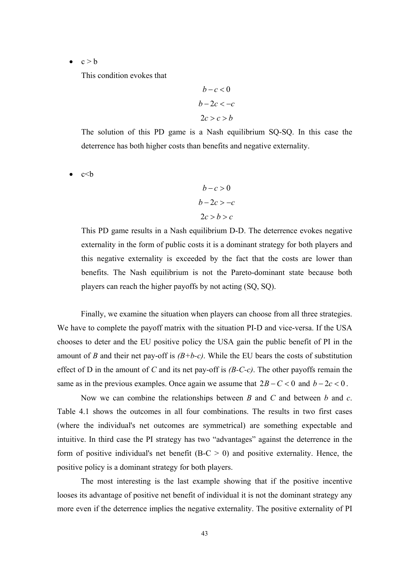$c > b$ 

This condition evokes that

$$
b-c<0
$$
  

$$
b-2c < -c
$$
  

$$
2c > c > b
$$

The solution of this PD game is a Nash equilibrium SQ-SQ. In this case the deterrence has both higher costs than benefits and negative externality.

 $-c < b$ 

$$
b - c > 0
$$
\n
$$
b - 2c > -c
$$
\n
$$
2c > b > c
$$

This PD game results in a Nash equilibrium D-D. The deterrence evokes negative externality in the form of public costs it is a dominant strategy for both players and this negative externality is exceeded by the fact that the costs are lower than benefits. The Nash equilibrium is not the Pareto-dominant state because both players can reach the higher payoffs by not acting (SQ, SQ).

 Finally, we examine the situation when players can choose from all three strategies. We have to complete the payoff matrix with the situation PI-D and vice-versa. If the USA chooses to deter and the EU positive policy the USA gain the public benefit of PI in the amount of *B* and their net pay-off is  $(B+b-c)$ . While the EU bears the costs of substitution effect of D in the amount of *C* and its net pay-off is *(B-C-c)*. The other payoffs remain the same as in the previous examples. Once again we assume that  $2B - C < 0$  and  $b - 2c < 0$ .

 Now we can combine the relationships between *B* and *C* and between *b* and *c*. Table 4.1 shows the outcomes in all four combinations. The results in two first cases (where the individual's net outcomes are symmetrical) are something expectable and intuitive. In third case the PI strategy has two "advantages" against the deterrence in the form of positive individual's net benefit ( $B-C > 0$ ) and positive externality. Hence, the positive policy is a dominant strategy for both players.

 The most interesting is the last example showing that if the positive incentive looses its advantage of positive net benefit of individual it is not the dominant strategy any more even if the deterrence implies the negative externality. The positive externality of PI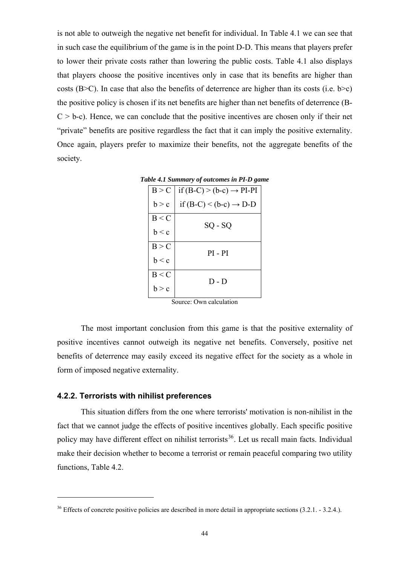<span id="page-53-0"></span>is not able to outweigh the negative net benefit for individual. In Table 4.1 we can see that in such case the equilibrium of the game is in the point D-D. This means that players prefer to lower their private costs rather than lowering the public costs. Table 4.1 also displays that players choose the positive incentives only in case that its benefits are higher than costs (B $\geq$ C). In case that also the benefits of deterrence are higher than its costs (i.e. b $\geq$ c) the positive policy is chosen if its net benefits are higher than net benefits of deterrence (B- $C > b-c$ ). Hence, we can conclude that the positive incentives are chosen only if their net "private" benefits are positive regardless the fact that it can imply the positive externality. Once again, players prefer to maximize their benefits, not the aggregate benefits of the society.

|  |                                                                                                        | Table 4.1 Summary of outcomes in PI-D game |
|--|--------------------------------------------------------------------------------------------------------|--------------------------------------------|
|  | $\lfloor n \rfloor$ $\lfloor f(n) \rfloor$ $\lfloor k \rfloor$ $\lfloor n \rfloor$ $\lfloor n \rfloor$ |                                            |

| B > C | if $(B-C)$ > $(b-c)$ $\rightarrow$ PI-PI |
|-------|------------------------------------------|
| b > c | if $(B-C)$ < $(b-c)$ $\rightarrow$ D-D   |
| B < C | SQ - SQ                                  |
| b < c |                                          |
| B > C | $PI - PI$                                |
| b < c |                                          |
| B < C | $D - D$                                  |
| b > c |                                          |

Source: Own calculation

 The most important conclusion from this game is that the positive externality of positive incentives cannot outweigh its negative net benefits. Conversely, positive net benefits of deterrence may easily exceed its negative effect for the society as a whole in form of imposed negative externality.

#### **4.2.2. Terrorists with nihilist preferences**

<u>.</u>

 This situation differs from the one where terrorists' motivation is non-nihilist in the fact that we cannot judge the effects of positive incentives globally. Each specific positive policy may have different effect on nihilist terrorists<sup>[36](#page-53-1)</sup>. Let us recall main facts. Individual make their decision whether to become a terrorist or remain peaceful comparing two utility functions, Table 4.2.

<span id="page-53-1"></span><sup>&</sup>lt;sup>36</sup> Effects of concrete positive policies are described in more detail in appropriate sections (3.2.1. - 3.2.4.).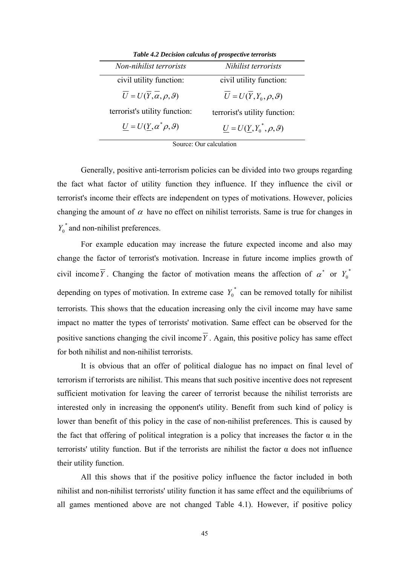<span id="page-54-0"></span>

| <b>Table 4.2 Decision calculus of prospective terrorists</b> |                                    |  |
|--------------------------------------------------------------|------------------------------------|--|
| Non-nihilist terrorists                                      | Nihilist terrorists                |  |
| civil utility function:                                      | civil utility function:            |  |
| $U = U(Y, \alpha, \rho, \vartheta)$                          | $U = U(Y, Y_0, \rho, \vartheta)$   |  |
| terrorist's utility function:                                | terrorist's utility function:      |  |
| $U = U(Y, \alpha^* \rho, \vartheta)$                         | $U = U(Y, Y_0^*, \rho, \vartheta)$ |  |

*Table 4.2 Decision calculus of prospective terrorists* 

Source: Our calculation

 Generally, positive anti-terrorism policies can be divided into two groups regarding the fact what factor of utility function they influence. If they influence the civil or terrorist's income their effects are independent on types of motivations. However, policies changing the amount of  $\alpha$  have no effect on nihilist terrorists. Same is true for changes in  $Y_0^*$  and non-nihilist preferences.

 For example education may increase the future expected income and also may change the factor of terrorist's motivation. Increase in future income implies growth of civil income  $\overline{Y}$ . Changing the factor of motivation means the affection of  $\alpha^*$  or  $Y_0^*$ depending on types of motivation. In extreme case  $Y_0^*$  can be removed totally for nihilist terrorists. This shows that the education increasing only the civil income may have same impact no matter the types of terrorists' motivation. Same effect can be observed for the positive sanctions changing the civil income *Y* . Again, this positive policy has same effect for both nihilist and non-nihilist terrorists.

 It is obvious that an offer of political dialogue has no impact on final level of terrorism if terrorists are nihilist. This means that such positive incentive does not represent sufficient motivation for leaving the career of terrorist because the nihilist terrorists are interested only in increasing the opponent's utility. Benefit from such kind of policy is lower than benefit of this policy in the case of non-nihilist preferences. This is caused by the fact that offering of political integration is a policy that increases the factor  $\alpha$  in the terrorists' utility function. But if the terrorists are nihilist the factor α does not influence their utility function.

 All this shows that if the positive policy influence the factor included in both nihilist and non-nihilist terrorists' utility function it has same effect and the equilibriums of all games mentioned above are not changed Table 4.1). However, if positive policy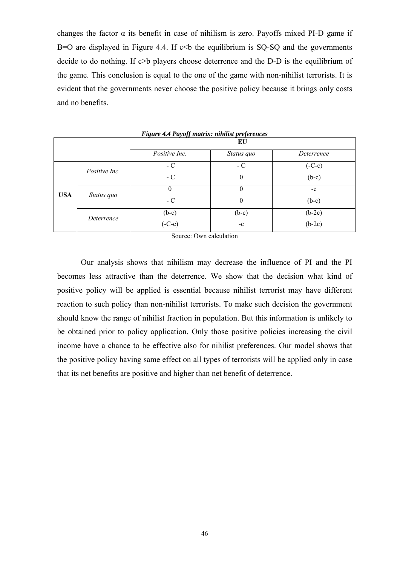<span id="page-55-0"></span>changes the factor  $\alpha$  its benefit in case of nihilism is zero. Payoffs mixed PI-D game if B=O are displayed in Figure 4.4. If  $c$   $\lt$ b the equilibrium is SQ-SQ and the governments decide to do nothing. If c>b players choose deterrence and the D-D is the equilibrium of the game. This conclusion is equal to the one of the game with non-nihilist terrorists. It is evident that the governments never choose the positive policy because it brings only costs and no benefits.

| Tigure 4.4 I ayoff matrix. himnst preferences |               |               |                  |            |  |  |
|-----------------------------------------------|---------------|---------------|------------------|------------|--|--|
|                                               |               | EU            |                  |            |  |  |
|                                               |               | Positive Inc. | Status quo       | Deterrence |  |  |
| <b>USA</b>                                    | Positive Inc. | $-C$          | $-C$             | $(-C-c)$   |  |  |
|                                               |               | $-C$          | $\boldsymbol{0}$ | $(b-c)$    |  |  |
|                                               | Status quo    | $\theta$      | $\theta$         | $-c$       |  |  |
|                                               |               | $-C$          | $\boldsymbol{0}$ | $(b-c)$    |  |  |
|                                               | Deterrence    | $(b-c)$       | $(b-c)$          | $(b-2c)$   |  |  |
|                                               |               | $(-C-c)$      | $-c$             | $(b-2c)$   |  |  |

*Figure 4.4 Payoff matrix: nihilist preferences* 

Source: Own calculation

 Our analysis shows that nihilism may decrease the influence of PI and the PI becomes less attractive than the deterrence. We show that the decision what kind of positive policy will be applied is essential because nihilist terrorist may have different reaction to such policy than non-nihilist terrorists. To make such decision the government should know the range of nihilist fraction in population. But this information is unlikely to be obtained prior to policy application. Only those positive policies increasing the civil income have a chance to be effective also for nihilist preferences. Our model shows that the positive policy having same effect on all types of terrorists will be applied only in case that its net benefits are positive and higher than net benefit of deterrence.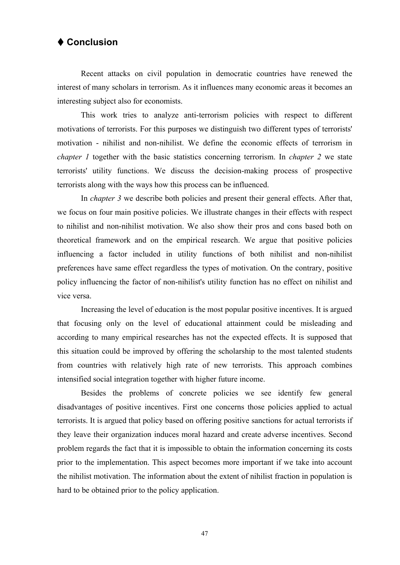## <span id="page-56-0"></span> **Conclusion**

 Recent attacks on civil population in democratic countries have renewed the interest of many scholars in terrorism. As it influences many economic areas it becomes an interesting subject also for economists.

 This work tries to analyze anti-terrorism policies with respect to different motivations of terrorists. For this purposes we distinguish two different types of terrorists' motivation - nihilist and non-nihilist. We define the economic effects of terrorism in *chapter 1* together with the basic statistics concerning terrorism. In *chapter 2* we state terrorists' utility functions. We discuss the decision-making process of prospective terrorists along with the ways how this process can be influenced.

In *chapter 3* we describe both policies and present their general effects. After that, we focus on four main positive policies. We illustrate changes in their effects with respect to nihilist and non-nihilist motivation. We also show their pros and cons based both on theoretical framework and on the empirical research. We argue that positive policies influencing a factor included in utility functions of both nihilist and non-nihilist preferences have same effect regardless the types of motivation. On the contrary, positive policy influencing the factor of non-nihilist's utility function has no effect on nihilist and vice versa.

 Increasing the level of education is the most popular positive incentives. It is argued that focusing only on the level of educational attainment could be misleading and according to many empirical researches has not the expected effects. It is supposed that this situation could be improved by offering the scholarship to the most talented students from countries with relatively high rate of new terrorists. This approach combines intensified social integration together with higher future income.

 Besides the problems of concrete policies we see identify few general disadvantages of positive incentives. First one concerns those policies applied to actual terrorists. It is argued that policy based on offering positive sanctions for actual terrorists if they leave their organization induces moral hazard and create adverse incentives. Second problem regards the fact that it is impossible to obtain the information concerning its costs prior to the implementation. This aspect becomes more important if we take into account the nihilist motivation. The information about the extent of nihilist fraction in population is hard to be obtained prior to the policy application.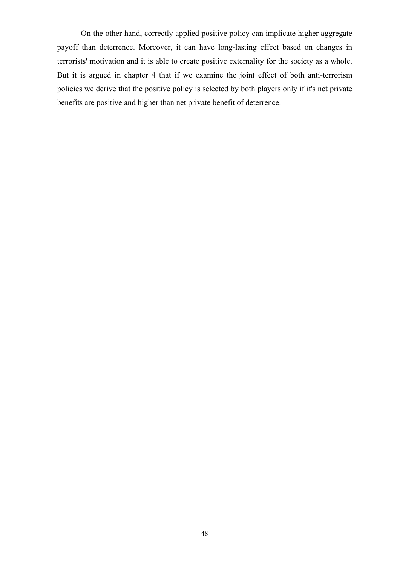On the other hand, correctly applied positive policy can implicate higher aggregate payoff than deterrence. Moreover, it can have long-lasting effect based on changes in terrorists' motivation and it is able to create positive externality for the society as a whole. But it is argued in chapter 4 that if we examine the joint effect of both anti-terrorism policies we derive that the positive policy is selected by both players only if it's net private benefits are positive and higher than net private benefit of deterrence.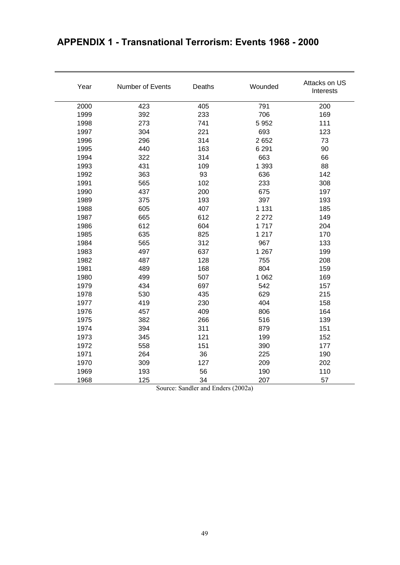| Year | Number of Events | Deaths | Wounded | Attacks on US<br>Interests |
|------|------------------|--------|---------|----------------------------|
| 2000 | 423              | 405    | 791     | 200                        |
| 1999 | 392              | 233    | 706     | 169                        |
| 1998 | 273              | 741    | 5952    | 111                        |
| 1997 | 304              | 221    | 693     | 123                        |
| 1996 | 296              | 314    | 2652    | 73                         |
| 1995 | 440              | 163    | 6 2 9 1 | 90                         |
| 1994 | 322              | 314    | 663     | 66                         |
| 1993 | 431              | 109    | 1 3 9 3 | 88                         |
| 1992 | 363              | 93     | 636     | 142                        |
| 1991 | 565              | 102    | 233     | 308                        |
| 1990 | 437              | 200    | 675     | 197                        |
| 1989 | 375              | 193    | 397     | 193                        |
| 1988 | 605              | 407    | 1 1 3 1 | 185                        |
| 1987 | 665              | 612    | 2 2 7 2 | 149                        |
| 1986 | 612              | 604    | 1717    | 204                        |
| 1985 | 635              | 825    | 1 2 1 7 | 170                        |
| 1984 | 565              | 312    | 967     | 133                        |
| 1983 | 497              | 637    | 1 2 6 7 | 199                        |
| 1982 | 487              | 128    | 755     | 208                        |
| 1981 | 489              | 168    | 804     | 159                        |
| 1980 | 499              | 507    | 1 0 6 2 | 169                        |
| 1979 | 434              | 697    | 542     | 157                        |
| 1978 | 530              | 435    | 629     | 215                        |
| 1977 | 419              | 230    | 404     | 158                        |
| 1976 | 457              | 409    | 806     | 164                        |
| 1975 | 382              | 266    | 516     | 139                        |
| 1974 | 394              | 311    | 879     | 151                        |
| 1973 | 345              | 121    | 199     | 152                        |
| 1972 | 558              | 151    | 390     | 177                        |
| 1971 | 264              | 36     | 225     | 190                        |
| 1970 | 309              | 127    | 209     | 202                        |
| 1969 | 193              | 56     | 190     | 110                        |
| 1968 | 125              | 34     | 207     | 57                         |

# <span id="page-58-0"></span>**APPENDIX 1 - Transnational Terrorism: Events 1968 - 2000**

Source: Sandler and Enders (2002a)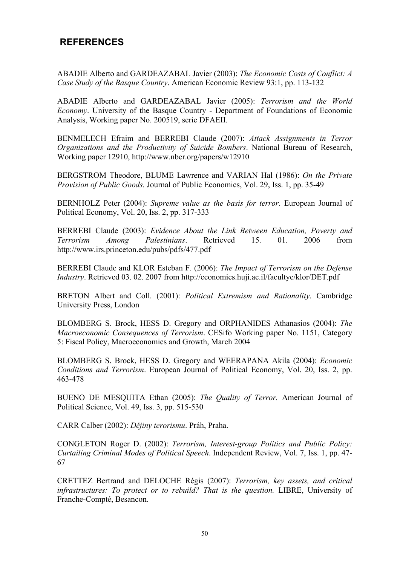## <span id="page-59-0"></span> **REFERENCES**

ABADIE Alberto and GARDEAZABAL Javier (2003): *The Economic Costs of Conflict: A Case Study of the Basque Country*. American Economic Review 93:1, pp. 113-132

ABADIE Alberto and GARDEAZABAL Javier (2005): *Terrorism and the World Economy*. University of the Basque Country - Department of Foundations of Economic Analysis, Working paper No. 200519, serie DFAEII.

BENMELECH Efraim and BERREBI Claude (2007): *Attack Assignments in Terror Organizations and the Productivity of Suicide Bombers*. National Bureau of Research, Working paper 12910, http://www.nber.org/papers/w12910

BERGSTROM Theodore, BLUME Lawrence and VARIAN Hal (1986): *On the Private Provision of Public Goods.* Journal of Public Economics, Vol. 29, Iss. 1, pp. 35-49

BERNHOLZ Peter (2004): *Supreme value as the basis for terror*. European Journal of Political Economy, Vol. 20, Iss. 2, pp. 317-333

BERREBI Claude (2003): *Evidence About the Link Between Education, Poverty and Terrorism Among Palestinians*. Retrieved 15. 01. 2006 from http://www.irs.princeton.edu/pubs/pdfs/477.pdf

BERREBI Claude and KLOR Esteban F. (2006): *The Impact of Terrorism on the Defense Industry*. Retrieved 03. 02. 2007 from http://economics.huji.ac.il/facultye/klor/DET.pdf

BRETON Albert and Coll. (2001): *Political Extremism and Rationality*. Cambridge University Press, London

BLOMBERG S. Brock, HESS D. Gregory and ORPHANIDES Athanasios (2004): *The Macroeconomic Consequences of Terrorism*. CESifo Working paper No. 1151, Category 5: Fiscal Policy, Macroeconomics and Growth, March 2004

BLOMBERG S. Brock, HESS D. Gregory and WEERAPANA Akila (2004): *Economic Conditions and Terrorism*. European Journal of Political Economy, Vol. 20, Iss. 2, pp. 463-478

BUENO DE MESQUITA Ethan (2005): *The Quality of Terror.* American Journal of Political Science, Vol. 49, Iss. 3, pp. 515-530

CARR Calber (2002): *Dějiny terorismu*. Práh, Praha.

CONGLETON Roger D. (2002): *Terrorism, Interest-group Politics and Public Policy: Curtailing Criminal Modes of Political Speech*. Independent Review, Vol. 7, Iss. 1, pp. 47- 67

CRETTEZ Bertrand and DELOCHE Régis (2007): *Terrorism, key assets, and critical infrastructures: To protect or to rebuild? That is the question.* LIBRE, University of Franche-Compté, Besancon.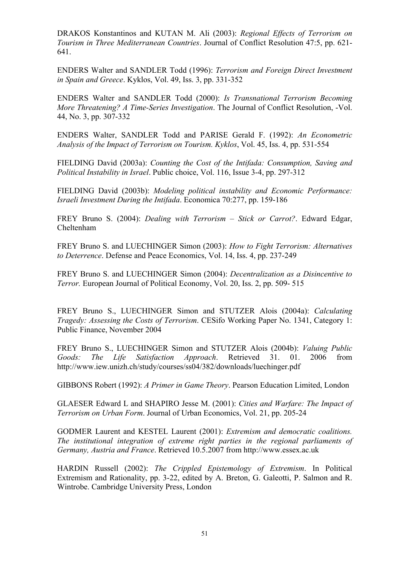DRAKOS Konstantinos and KUTAN M. Ali (2003): *Regional Effects of Terrorism on Tourism in Three Mediterranean Countries*. Journal of Conflict Resolution 47:5, pp. 621- 641.

ENDERS Walter and SANDLER Todd (1996): *Terrorism and Foreign Direct Investment in Spain and Greece*. Kyklos, Vol. 49, Iss. 3, pp. 331-352

ENDERS Walter and SANDLER Todd (2000): *Is Transnational Terrorism Becoming More Threatening? A Time-Series Investigation*. The Journal of Conflict Resolution, -Vol. 44, No. 3, pp. 307-332

ENDERS Walter, SANDLER Todd and PARISE Gerald F. (1992): *An Econometric Analysis of the Impact of Terrorism on Tourism. Kyklos*, Vol. 45, Iss. 4, pp. 531-554

FIELDING David (2003a): *Counting the Cost of the Intifada: Consumption, Saving and Political Instability in Israel*. Public choice, Vol. 116, Issue 3-4, pp. 297-312

FIELDING David (2003b): *Modeling political instability and Economic Performance: Israeli Investment During the Intifada*. Economica 70:277, pp. 159-186

FREY Bruno S. (2004): *Dealing with Terrorism – Stick or Carrot?*. Edward Edgar, Cheltenham

FREY Bruno S. and LUECHINGER Simon (2003): *How to Fight Terrorism: Alternatives to Deterrence*. Defense and Peace Economics, Vol. 14, Iss. 4, pp. 237-249

FREY Bruno S. and LUECHINGER Simon (2004): *Decentralization as a Disincentive to Terror.* European Journal of Political Economy, Vol. 20, Iss. 2, pp. 509- 515

FREY Bruno S., LUECHINGER Simon and STUTZER Alois (2004a): *Calculating Tragedy: Assessing the Costs of Terrorism*. CESifo Working Paper No. 1341, Category 1: Public Finance, November 2004

FREY Bruno S., LUECHINGER Simon and STUTZER Alois (2004b): *Valuing Public Goods: The Life Satisfaction Approach*. Retrieved 31. 01. 2006 from http://www.iew.unizh.ch/study/courses/ss04/382/downloads/luechinger.pdf

GIBBONS Robert (1992): *A Primer in Game Theory*. Pearson Education Limited, London

GLAESER Edward L and SHAPIRO Jesse M. (2001): *Cities and Warfare: The Impact of Terrorism on Urban Form*. Journal of Urban Economics, Vol. 21, pp. 205-24

GODMER Laurent and KESTEL Laurent (2001): *Extremism and democratic coalitions. The institutional integration of extreme right parties in the regional parliaments of Germany, Austria and France*. Retrieved 10.5.2007 from http://www.essex.ac.uk

HARDIN Russell (2002): *The Crippled Epistemology of Extremism*. In Political Extremism and Rationality, pp. 3-22, edited by A. Breton, G. Galeotti, P. Salmon and R. Wintrobe. Cambridge University Press, London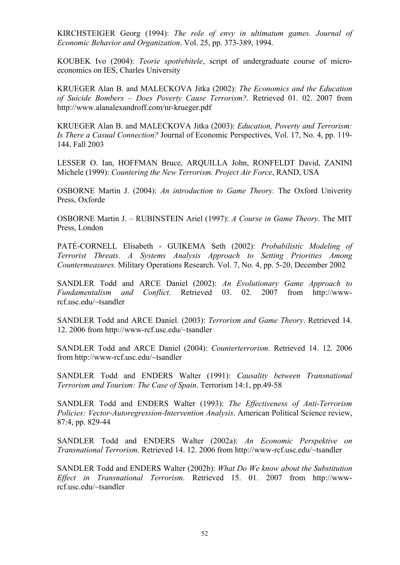KIRCHSTEIGER Georg (1994): *The role of envy in ultimatum games. Journal of Economic Behavior and Organization*. Vol. 25, pp. 373-389, 1994.

KOUBEK Ivo (2004): *Teorie spotřebitele*, script of undergraduate course of microeconomics on IES, Charles University

KRUEGER Alan B. and MALECKOVA Jitka (2002): *The Economics and the Education of Suicide Bombers – Does Poverty Cause Terrorism?*. Retrieved 01. 02. 2007 from http://www.alanalexandroff.com/nr-krueger.pdf

KRUEGER Alan B. and MALECKOVA Jitka (2003): *Education, Poverty and Terrorism: Is There a Casual Connection?* Journal of Economic Perspectives, Vol. 17, No. 4, pp. 119- 144, Fall 2003

LESSER O. Ian, HOFFMAN Bruce, ARQUILLA John, RONFELDT David, ZANINI Michele (1999): *Countering the New Terrorism. Project Air Force*, RAND, USA

OSBORNE Martin J. (2004): *An introduction to Game Theory.* The Oxford Univerity Press, Oxforde

OSBORNE Martin J. – RUBINSTEIN Ariel (1997): *A Course in Game Theory*. The MIT Press, London

PATÉ-CORNELL Elisabeth - GUIKEMA Seth (2002): *Probabilistic Modeling of Terrorist Threats. A Systems Analysis Approach to Setting Priorities Among Countermeasures.* Military Operations Research. Vol. 7, No. 4, pp. 5-20, December 2002

SANDLER Todd and ARCE Daniel (2002): *An Evolutionary Game Approach to Fundamentalism and Conflict*. Retrieved 03. 02. 2007 from http://wwwrcf.usc.edu/~tsandler

SANDLER Todd and ARCE Daniel. (2003): *Terrorism and Game Theory*. Retrieved 14. 12. 2006 from http://www-rcf.usc.edu/~tsandler

SANDLER Todd and ARCE Daniel (2004): *Counterterrorism*. Retrieved 14. 12. 2006 from http://www-rcf.usc.edu/~tsandler

SANDLER Todd and ENDERS Walter (1991): *Causality between Transnational Terrorism and Tourism: The Case of Spain*. Terrorism 14:1, pp.49-58

SANDLER Todd and ENDERS Walter (1993): *The Effectiveness of Anti-Terrorism Policies: Vector-Autoregression-Intervention Analysis*. American Political Science review, 87:4, pp. 829-44

SANDLER Todd and ENDERS Walter (2002a): *An Economic Perspektive on Transnational Terrorism*. Retrieved 14. 12. 2006 from http://www-rcf.usc.edu/~tsandler

SANDLER Todd and ENDERS Walter (2002b): *What Do We know about the Substitution Effect in Transnational Terrorism*. Retrieved 15. 01. 2007 from http://wwwrcf.usc.edu/~tsandler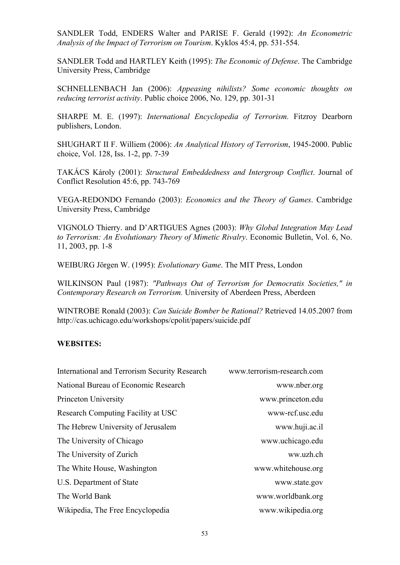SANDLER Todd, ENDERS Walter and PARISE F. Gerald (1992): *An Econometric Analysis of the Impact of Terrorism on Tourism*. Kyklos 45:4, pp. 531-554.

SANDLER Todd and HARTLEY Keith (1995): *The Economic of Defense*. The Cambridge University Press, Cambridge

SCHNELLENBACH Jan (2006): *Appeasing nihilists? Some economic thoughts on reducing terrorist activity*. Public choice 2006, No. 129, pp. 301-31

SHARPE M. E. (1997): *International Encyclopedia of Terrorism.* Fitzroy Dearborn publishers, London.

SHUGHART II F. Williem (2006): *An Analytical History of Terrorism*, 1945-2000. Public choice, Vol. 128, Iss. 1-2, pp. 7-39

TAKÁCS Károly (2001): *Structural Embeddedness and Intergroup Conflict*. Journal of Conflict Resolution 45:6, pp. 743-769

VEGA-REDONDO Fernando (2003): *Economics and the Theory of Games*. Cambridge University Press, Cambridge

VIGNOLO Thierry. and D'ARTIGUES Agnes (2003): *Why Global Integration May Lead to Terrorism: An Evolutionary Theory of Mimetic Rivalry*. Economic Bulletin, Vol. 6, No. 11, 2003, pp. 1-8

WEIBURG Jörgen W. (1995): *Evolutionary Game*. The MIT Press, London

WILKINSON Paul (1987): *"Pathways Out of Terrorism for Democratis Societies," in Contemporary Research on Terrorism.* University of Aberdeen Press, Aberdeen

WINTROBE Ronald (2003): *Can Suicide Bomber be Rational?* Retrieved 14.05.2007 from http://cas.uchicago.edu/workshops/cpolit/papers/suicide.pdf

#### **WEBSITES:**

| International and Terrorism Security Research | www.terrorism-research.com |
|-----------------------------------------------|----------------------------|
| National Bureau of Economic Research          | www.nber.org               |
| Princeton University                          | www.princeton.edu          |
| Research Computing Facility at USC            | www-rcf.usc.edu            |
| The Hebrew University of Jerusalem            | www.huji.ac.il             |
| The University of Chicago                     | www.uchicago.edu           |
| The University of Zurich                      | ww.uzh.ch                  |
| The White House, Washington                   | www.whitehouse.org         |
| U.S. Department of State                      | www.state.gov              |
| The World Bank                                | www.worldbank.org          |
| Wikipedia, The Free Encyclopedia              | www.wikipedia.org          |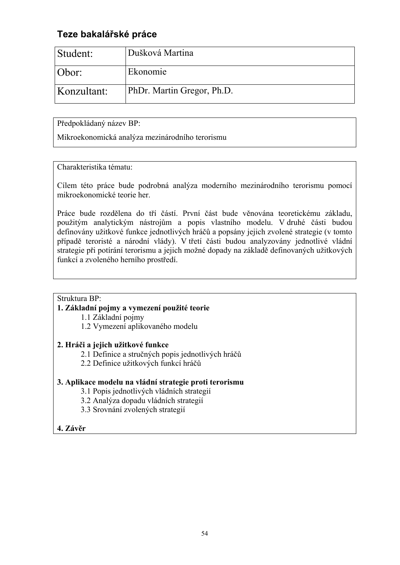## <span id="page-63-0"></span>**Teze bakalářské práce**

| Student:    | Dušková Martina            |
|-------------|----------------------------|
| Obor:       | Ekonomie                   |
| Konzultant: | PhDr. Martin Gregor, Ph.D. |

Předpokládaný název BP:

Mikroekonomická analýza mezinárodního terorismu

Charakteristika tématu:

Cílem této práce bude podrobná analýza moderního mezinárodního terorismu pomocí mikroekonomické teorie her.

Práce bude rozdělena do tří částí. První část bude věnována teoretickému základu, použitým analytickým nástrojům a popis vlastního modelu. V druhé části budou definovány užitkové funkce jednotlivých hráčů a popsány jejich zvolené strategie (v tomto případě teroristé a národní vlády). V třetí části budou analyzovány jednotlivé vládní strategie při potírání terorismu a jejich možné dopady na základě definovaných užitkových funkcí a zvoleného herního prostředí.

## Struktura BP:

## **1. Základní pojmy a vymezení použité teorie**

1.1 Základní pojmy

1.2 Vymezení aplikovaného modelu

## **2. Hráči a jejich užitkové funkce**

2.1 Definice a stručných popis jednotlivých hráčů

2.2 Definice užitkových funkcí hráčů

## **3. Aplikace modelu na vládní strategie proti terorismu**

- 3.1 Popis jednotlivých vládních strategií
- 3.2 Analýza dopadu vládních strategií
- 3.3 Srovnání zvolených strategií
- **4. Závěr**